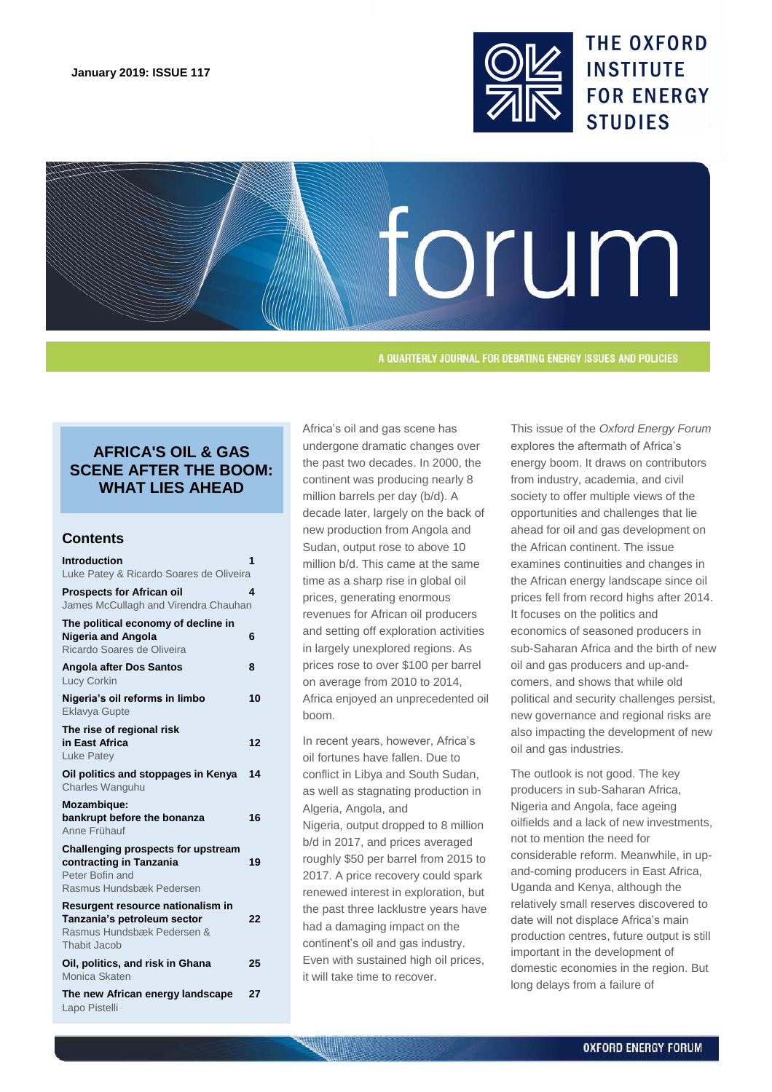

**THE OXFORD INSTITUTE FOR ENERGY STUDIES** 



A QUARTERLY JOURNAL FOR DEBATING ENERGY ISSUES AND POLICIES

# **AFRICA'S OIL & GAS SCENE AFTER THE BOOM: WHAT LIES AHEAD**

## **Contents**

| <b>Introduction</b>                                                                                                 | 1  |
|---------------------------------------------------------------------------------------------------------------------|----|
| Luke Patey & Ricardo Soares de Oliveira                                                                             |    |
| <b>Prospects for African oil</b><br>James McCullagh and Virendra Chauhan                                            | 4  |
| The political economy of decline in<br><b>Nigeria and Angola</b><br>Ricardo Soares de Oliveira                      | 6  |
| <b>Angola after Dos Santos</b><br><b>Lucy Corkin</b>                                                                | 8  |
| Nigeria's oil reforms in limbo<br><b>Eklavya Gupte</b>                                                              | 10 |
| The rise of regional risk<br>in East Africa<br><b>Luke Patey</b>                                                    | 12 |
| Oil politics and stoppages in Kenya<br>Charles Wanguhu                                                              | 14 |
| <b>Mozambique:</b><br>bankrupt before the bonanza<br>Anne Frühauf                                                   | 16 |
| <b>Challenging prospects for upstream</b><br>contracting in Tanzania<br>Peter Bofin and<br>Rasmus Hundsbæk Pedersen | 19 |
| Resurgent resource nationalism in<br>Tanzania's petroleum sector<br>Rasmus Hundsbæk Pedersen &<br>Thabit Jacob      | 22 |
| Oil, politics, and risk in Ghana<br>Monica Skaten                                                                   | 25 |
| The new African energy landscape<br>Lapo Pistelli                                                                   | 27 |

Africa's oil and gas scene has undergone dramatic changes over the past two decades. In 2000, the continent was producing nearly 8 million barrels per day (b/d). A decade later, largely on the back of new production from Angola and Sudan, output rose to above 10 million b/d. This came at the same time as a sharp rise in global oil prices, generating enormous revenues for African oil producers and setting off exploration activities in largely unexplored regions. As prices rose to over \$100 per barrel on average from 2010 to 2014, Africa enjoyed an unprecedented oil boom.

In recent years, however, Africa's oil fortunes have fallen. Due to conflict in Libya and South Sudan, as well as stagnating production in Algeria, Angola, and Nigeria, output dropped to 8 million b/d in 2017, and prices averaged roughly \$50 per barrel from 2015 to 2017. A price recovery could spark renewed interest in exploration, but the past three lacklustre years have had a damaging impact on the continent's oil and gas industry. Even with sustained high oil prices, it will take time to recover.

This issue of the *Oxford Energy Forum* explores the aftermath of Africa's energy boom. It draws on contributors from industry, academia, and civil society to offer multiple views of the opportunities and challenges that lie ahead for oil and gas development on the African continent. The issue examines continuities and changes in the African energy landscape since oil prices fell from record highs after 2014. It focuses on the politics and economics of seasoned producers in sub-Saharan Africa and the birth of new oil and gas producers and up-andcomers, and shows that while old political and security challenges persist, new governance and regional risks are also impacting the development of new oil and gas industries.

The outlook is not good. The key producers in sub-Saharan Africa, Nigeria and Angola, face ageing oilfields and a lack of new investments, not to mention the need for considerable reform. Meanwhile, in upand-coming producers in East Africa, Uganda and Kenya, although the relatively small reserves discovered to date will not displace Africa's main production centres, future output is still important in the development of domestic economies in the region. But long delays from a failure of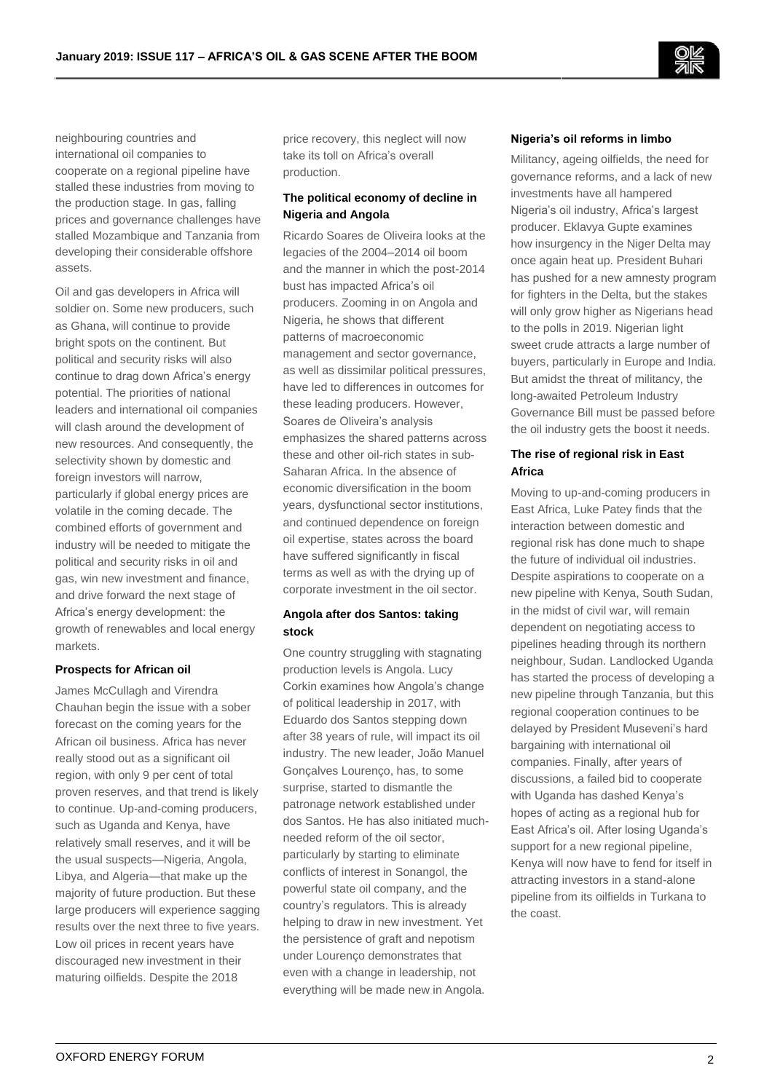neighbouring countries and international oil companies to cooperate on a regional pipeline have stalled these industries from moving to the production stage. In gas, falling prices and governance challenges have stalled Mozambique and Tanzania from developing their considerable offshore assets.

Oil and gas developers in Africa will soldier on. Some new producers, such as Ghana, will continue to provide bright spots on the continent. But political and security risks will also continue to drag down Africa's energy potential. The priorities of national leaders and international oil companies will clash around the development of new resources. And consequently, the selectivity shown by domestic and foreign investors will narrow, particularly if global energy prices are volatile in the coming decade. The combined efforts of government and industry will be needed to mitigate the political and security risks in oil and gas, win new investment and finance, and drive forward the next stage of Africa's energy development: the growth of renewables and local energy markets.

## **Prospects for African oil**

James McCullagh and Virendra Chauhan begin the issue with a sober forecast on the coming years for the African oil business. Africa has never really stood out as a significant oil region, with only 9 per cent of total proven reserves, and that trend is likely to continue. Up-and-coming producers, such as Uganda and Kenya, have relatively small reserves, and it will be the usual suspects—Nigeria, Angola, Libya, and Algeria—that make up the majority of future production. But these large producers will experience sagging results over the next three to five years. Low oil prices in recent years have discouraged new investment in their maturing oilfields. Despite the 2018

price recovery, this neglect will now take its toll on Africa's overall production.

## **The political economy of decline in Nigeria and Angola**

Ricardo Soares de Oliveira looks at the legacies of the 2004–2014 oil boom and the manner in which the post-2014 bust has impacted Africa's oil producers. Zooming in on Angola and Nigeria, he shows that different patterns of macroeconomic management and sector governance, as well as dissimilar political pressures, have led to differences in outcomes for these leading producers. However, Soares de Oliveira's analysis emphasizes the shared patterns across these and other oil-rich states in sub-Saharan Africa. In the absence of economic diversification in the boom years, dysfunctional sector institutions, and continued dependence on foreign oil expertise, states across the board have suffered significantly in fiscal terms as well as with the drying up of corporate investment in the oil sector.

## **Angola after dos Santos: taking stock**

One country struggling with stagnating production levels is Angola. Lucy Corkin examines how Angola's change of political leadership in 2017, with Eduardo dos Santos stepping down after 38 years of rule, will impact its oil industry. The new leader, João Manuel Gonçalves Lourenço, has, to some surprise, started to dismantle the patronage network established under dos Santos. He has also initiated muchneeded reform of the oil sector, particularly by starting to eliminate conflicts of interest in Sonangol, the powerful state oil company, and the country's regulators. This is already helping to draw in new investment. Yet the persistence of graft and nepotism under Lourenço demonstrates that even with a change in leadership, not everything will be made new in Angola.

### **Nigeria's oil reforms in limbo**

Militancy, ageing oilfields, the need for governance reforms, and a lack of new investments have all hampered Nigeria's oil industry, Africa's largest producer. Eklavya Gupte examines how insurgency in the Niger Delta may once again heat up. President Buhari has pushed for a new amnesty program for fighters in the Delta, but the stakes will only grow higher as Nigerians head to the polls in 2019. Nigerian light sweet crude attracts a large number of buyers, particularly in Europe and India. But amidst the threat of militancy, the long-awaited Petroleum Industry Governance Bill must be passed before the oil industry gets the boost it needs.

## **The rise of regional risk in East Africa**

Moving to up-and-coming producers in East Africa, Luke Patey finds that the interaction between domestic and regional risk has done much to shape the future of individual oil industries. Despite aspirations to cooperate on a new pipeline with Kenya, South Sudan, in the midst of civil war, will remain dependent on negotiating access to pipelines heading through its northern neighbour, Sudan. Landlocked Uganda has started the process of developing a new pipeline through Tanzania, but this regional cooperation continues to be delayed by President Museveni's hard bargaining with international oil companies. Finally, after years of discussions, a failed bid to cooperate with Uganda has dashed Kenya's hopes of acting as a regional hub for East Africa's oil. After losing Uganda's support for a new regional pipeline, Kenya will now have to fend for itself in attracting investors in a stand-alone pipeline from its oilfields in Turkana to the coast.

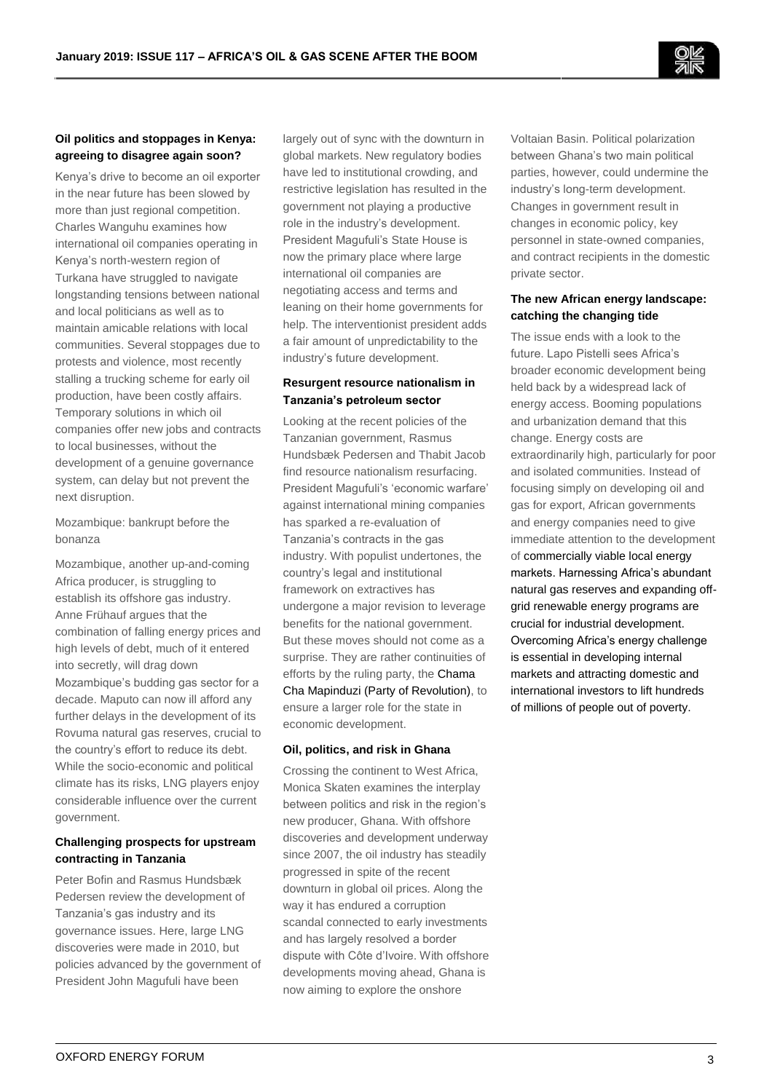

## **Oil politics and stoppages in Kenya: agreeing to disagree again soon?**

Kenya's drive to become an oil exporter in the near future has been slowed by more than just regional competition. Charles Wanguhu examines how international oil companies operating in Kenya's north-western region of Turkana have struggled to navigate longstanding tensions between national and local politicians as well as to maintain amicable relations with local communities. Several stoppages due to protests and violence, most recently stalling a trucking scheme for early oil production, have been costly affairs. Temporary solutions in which oil companies offer new jobs and contracts to local businesses, without the development of a genuine governance system, can delay but not prevent the next disruption.

Mozambique: bankrupt before the bonanza

Mozambique, another up-and-coming Africa producer, is struggling to establish its offshore gas industry. Anne Frühauf argues that the combination of falling energy prices and high levels of debt, much of it entered into secretly, will drag down Mozambique's budding gas sector for a decade. Maputo can now ill afford any further delays in the development of its Rovuma natural gas reserves, crucial to the country's effort to reduce its debt. While the socio-economic and political climate has its risks, LNG players enjoy considerable influence over the current government.

## **Challenging prospects for upstream contracting in Tanzania**

Peter Bofin and Rasmus Hundsbæk Pedersen review the development of Tanzania's gas industry and its governance issues. Here, large LNG discoveries were made in 2010, but policies advanced by the government of President John Magufuli have been

largely out of sync with the downturn in global markets. New regulatory bodies have led to institutional crowding, and restrictive legislation has resulted in the government not playing a productive role in the industry's development. President Magufuli's State House is now the primary place where large international oil companies are negotiating access and terms and leaning on their home governments for help. The interventionist president adds a fair amount of unpredictability to the industry's future development.

## **Resurgent resource nationalism in Tanzania's petroleum sector**

Looking at the recent policies of the Tanzanian government, Rasmus Hundsbæk Pedersen and Thabit Jacob find resource nationalism resurfacing. President Magufuli's 'economic warfare' against international mining companies has sparked a re-evaluation of Tanzania's contracts in the gas industry. With populist undertones, the country's legal and institutional framework on extractives has undergone a major revision to leverage benefits for the national government. But these moves should not come as a surprise. They are rather continuities of efforts by the ruling party, the Chama Cha Mapinduzi (Party of Revolution), to ensure a larger role for the state in economic development.

## **Oil, politics, and risk in Ghana**

Crossing the continent to West Africa, Monica Skaten examines the interplay between politics and risk in the region's new producer, Ghana. With offshore discoveries and development underway since 2007, the oil industry has steadily progressed in spite of the recent downturn in global oil prices. Along the way it has endured a corruption scandal connected to early investments and has largely resolved a border dispute with Côte d'Ivoire. With offshore developments moving ahead, Ghana is now aiming to explore the onshore

Voltaian Basin. Political polarization between Ghana's two main political parties, however, could undermine the industry's long-term development. Changes in government result in changes in economic policy, key personnel in state-owned companies, and contract recipients in the domestic private sector.

## **The new African energy landscape: catching the changing tide**

The issue ends with a look to the future. Lapo Pistelli sees Africa's broader economic development being held back by a widespread lack of energy access. Booming populations and urbanization demand that this change. Energy costs are extraordinarily high, particularly for poor and isolated communities. Instead of focusing simply on developing oil and gas for export, African governments and energy companies need to give immediate attention to the development of commercially viable local energy markets. Harnessing Africa's abundant natural gas reserves and expanding offgrid renewable energy programs are crucial for industrial development. Overcoming Africa's energy challenge is essential in developing internal markets and attracting domestic and international investors to lift hundreds of millions of people out of poverty.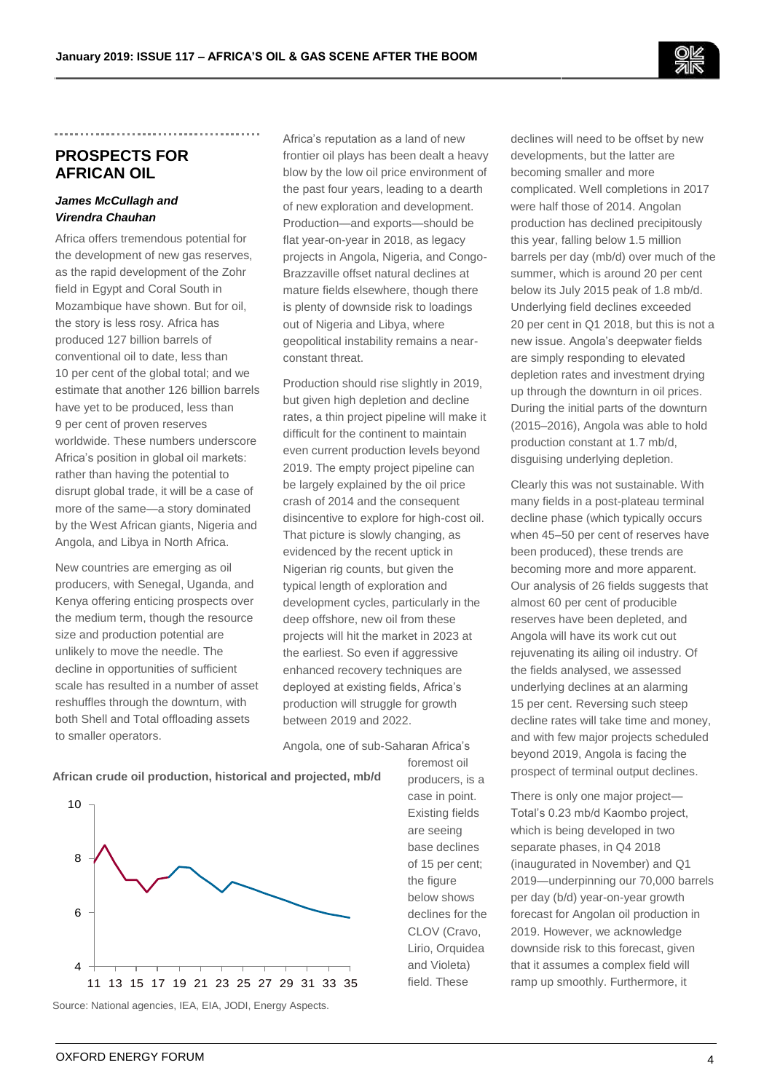

# **PROSPECTS FOR AFRICAN OIL**

## *James McCullagh and Virendra Chauhan*

Africa offers tremendous potential for the development of new gas reserves, as the rapid development of the Zohr field in Egypt and Coral South in Mozambique have shown. But for oil, the story is less rosy. Africa has produced 127 billion barrels of conventional oil to date, less than 10 per cent of the global total; and we estimate that another 126 billion barrels have yet to be produced, less than 9 per cent of proven reserves worldwide. These numbers underscore Africa's position in global oil markets: rather than having the potential to disrupt global trade, it will be a case of more of the same—a story dominated by the West African giants, Nigeria and Angola, and Libya in North Africa.

New countries are emerging as oil producers, with Senegal, Uganda, and Kenya offering enticing prospects over the medium term, though the resource size and production potential are unlikely to move the needle. The decline in opportunities of sufficient scale has resulted in a number of asset reshuffles through the downturn, with both Shell and Total offloading assets to smaller operators.

Africa's reputation as a land of new frontier oil plays has been dealt a heavy blow by the low oil price environment of the past four years, leading to a dearth of new exploration and development. Production—and exports—should be flat year-on-year in 2018, as legacy projects in Angola, Nigeria, and Congo-Brazzaville offset natural declines at mature fields elsewhere, though there is plenty of downside risk to loadings out of Nigeria and Libya, where geopolitical instability remains a nearconstant threat.

Production should rise slightly in 2019, but given high depletion and decline rates, a thin project pipeline will make it difficult for the continent to maintain even current production levels beyond 2019. The empty project pipeline can be largely explained by the oil price crash of 2014 and the consequent disincentive to explore for high-cost oil. That picture is slowly changing, as evidenced by the recent uptick in Nigerian rig counts, but given the typical length of exploration and development cycles, particularly in the deep offshore, new oil from these projects will hit the market in 2023 at the earliest. So even if aggressive enhanced recovery techniques are deployed at existing fields, Africa's production will struggle for growth between 2019 and 2022.

Angola, one of sub-Saharan Africa's





Source: National agencies, IEA, EIA, JODI, Energy Aspects.

foremost oil producers, is a case in point. Existing fields are seeing base declines of 15 per cent; the figure below shows declines for the CLOV (Cravo, Lirio, Orquidea and Violeta) field. These

declines will need to be offset by new developments, but the latter are becoming smaller and more complicated. Well completions in 2017 were half those of 2014. Angolan production has declined precipitously this year, falling below 1.5 million barrels per day (mb/d) over much of the summer, which is around 20 per cent below its July 2015 peak of 1.8 mb/d. Underlying field declines exceeded 20 per cent in Q1 2018, but this is not a new issue. Angola's deepwater fields are simply responding to elevated depletion rates and investment drying up through the downturn in oil prices. During the initial parts of the downturn (2015–2016), Angola was able to hold production constant at 1.7 mb/d, disguising underlying depletion.

Clearly this was not sustainable. With many fields in a post-plateau terminal decline phase (which typically occurs when 45–50 per cent of reserves have been produced), these trends are becoming more and more apparent. Our analysis of 26 fields suggests that almost 60 per cent of producible reserves have been depleted, and Angola will have its work cut out rejuvenating its ailing oil industry. Of the fields analysed, we assessed underlying declines at an alarming 15 per cent. Reversing such steep decline rates will take time and money, and with few major projects scheduled beyond 2019, Angola is facing the prospect of terminal output declines.

There is only one major project— Total's 0.23 mb/d Kaombo project, which is being developed in two separate phases, in Q4 2018 (inaugurated in November) and Q1 2019—underpinning our 70,000 barrels per day (b/d) year-on-year growth forecast for Angolan oil production in 2019. However, we acknowledge downside risk to this forecast, given that it assumes a complex field will ramp up smoothly. Furthermore, it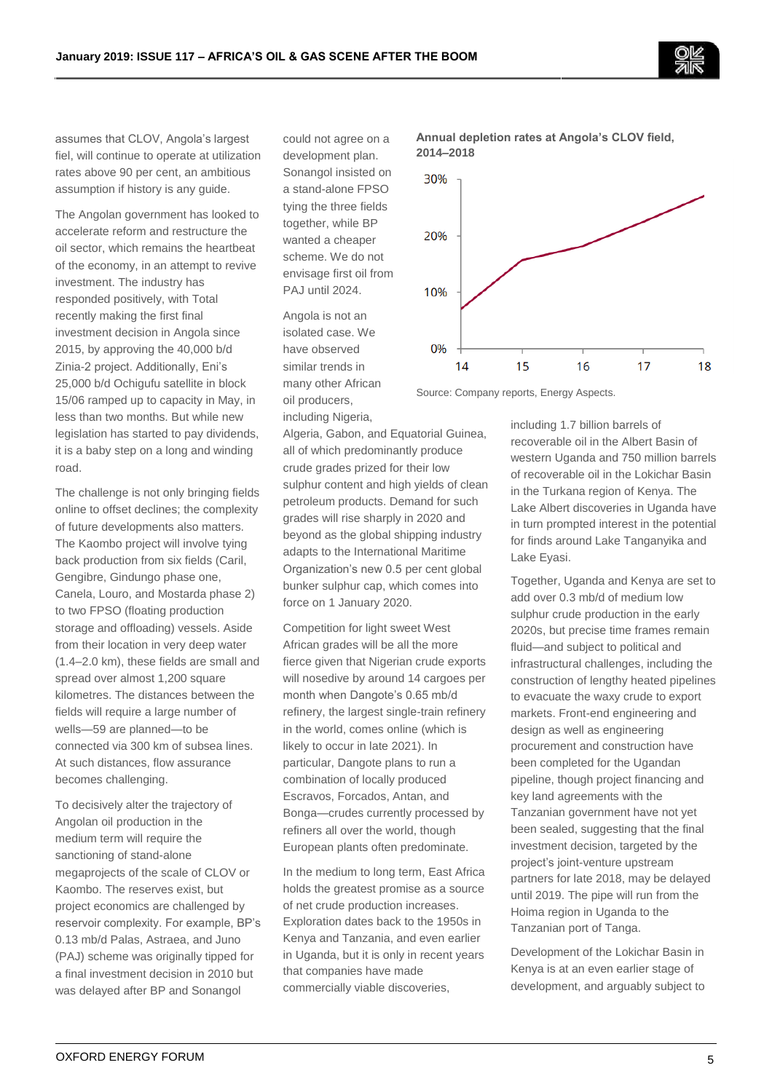assumes that CLOV, Angola's largest fiel, will continue to operate at utilization rates above 90 per cent, an ambitious assumption if history is any guide.

The Angolan government has looked to accelerate reform and restructure the oil sector, which remains the heartbeat of the economy, in an attempt to revive investment. The industry has responded positively, with Total recently making the first final investment decision in Angola since 2015, by approving the 40,000 b/d Zinia-2 project. Additionally, Eni's 25,000 b/d Ochigufu satellite in block 15/06 ramped up to capacity in May, in less than two months. But while new legislation has started to pay dividends, it is a baby step on a long and winding road.

The challenge is not only bringing fields online to offset declines; the complexity of future developments also matters. The Kaombo project will involve tying back production from six fields (Caril, Gengibre, Gindungo phase one, Canela, Louro, and Mostarda phase 2) to two FPSO (floating production storage and offloading) vessels. Aside from their location in very deep water (1.4–2.0 km), these fields are small and spread over almost 1,200 square kilometres. The distances between the fields will require a large number of wells—59 are planned—to be connected via 300 km of subsea lines. At such distances, flow assurance becomes challenging.

To decisively alter the trajectory of Angolan oil production in the medium term will require the sanctioning of stand-alone megaprojects of the scale of CLOV or Kaombo. The reserves exist, but project economics are challenged by reservoir complexity. For example, BP's 0.13 mb/d Palas, Astraea, and Juno (PAJ) scheme was originally tipped for a final investment decision in 2010 but was delayed after BP and Sonangol

could not agree on a development plan. Sonangol insisted on a stand-alone FPSO tying the three fields together, while BP wanted a cheaper scheme. We do not envisage first oil from PAJ until 2024.

Angola is not an isolated case. We have observed similar trends in many other African oil producers, including Nigeria,

Algeria, Gabon, and Equatorial Guinea, all of which predominantly produce crude grades prized for their low sulphur content and high yields of clean petroleum products. Demand for such grades will rise sharply in 2020 and beyond as the global shipping industry adapts to the International Maritime Organization's new 0.5 per cent global bunker sulphur cap, which comes into force on 1 January 2020.

Competition for light sweet West African grades will be all the more fierce given that Nigerian crude exports will nosedive by around 14 cargoes per month when Dangote's 0.65 mb/d refinery, the largest single-train refinery in the world, comes online (which is likely to occur in late 2021). In particular, Dangote plans to run a combination of locally produced Escravos, Forcados, Antan, and Bonga—crudes currently processed by refiners all over the world, though European plants often predominate.

In the medium to long term, East Africa holds the greatest promise as a source of net crude production increases. Exploration dates back to the 1950s in Kenya and Tanzania, and even earlier in Uganda, but it is only in recent years that companies have made commercially viable discoveries,



**Annual depletion rates at Angola's CLOV field,** 

Source: Company reports, Energy Aspects.

including 1.7 billion barrels of recoverable oil in the Albert Basin of western Uganda and 750 million barrels of recoverable oil in the Lokichar Basin in the Turkana region of Kenya. The Lake Albert discoveries in Uganda have in turn prompted interest in the potential for finds around Lake Tanganyika and Lake Eyasi.

Together, Uganda and Kenya are set to add over 0.3 mb/d of medium low sulphur crude production in the early 2020s, but precise time frames remain fluid—and subject to political and infrastructural challenges, including the construction of lengthy heated pipelines to evacuate the waxy crude to export markets. Front-end engineering and design as well as engineering procurement and construction have been completed for the Ugandan pipeline, though project financing and key land agreements with the Tanzanian government have not yet been sealed, suggesting that the final investment decision, targeted by the project's joint-venture upstream partners for late 2018, may be delayed until 2019. The pipe will run from the Hoima region in Uganda to the Tanzanian port of Tanga.

Development of the Lokichar Basin in Kenya is at an even earlier stage of development, and arguably subject to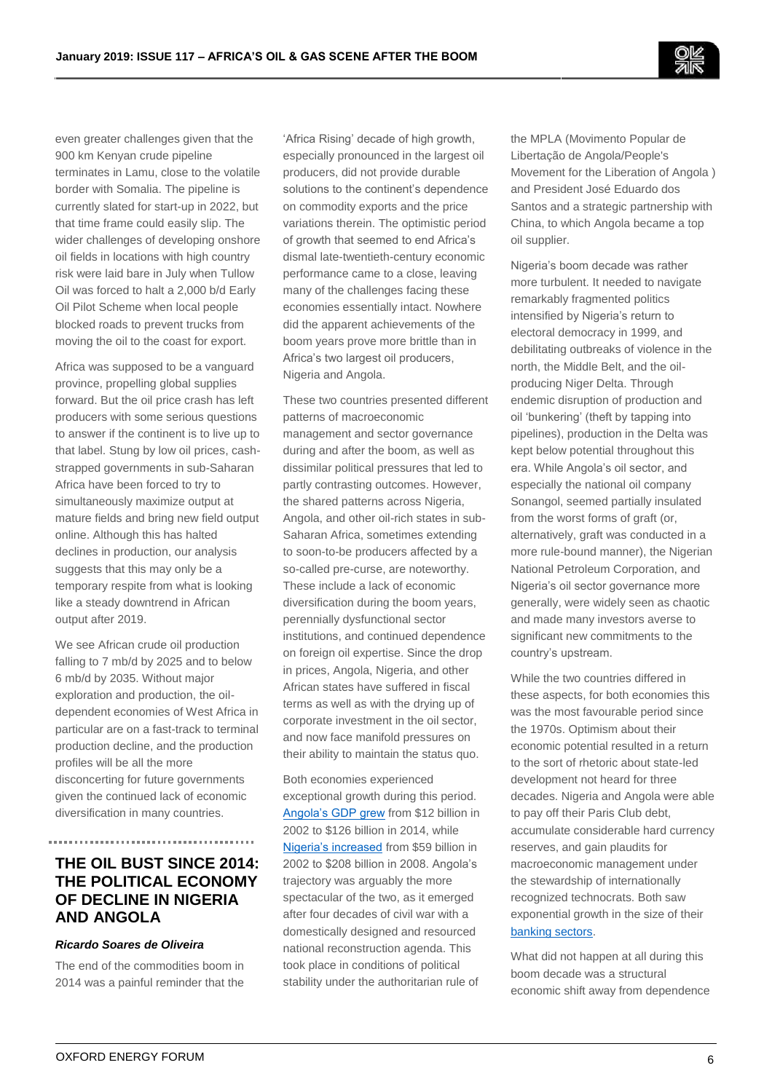even greater challenges given that the 900 km Kenyan crude pipeline terminates in Lamu, close to the volatile border with Somalia. The pipeline is currently slated for start-up in 2022, but that time frame could easily slip. The wider challenges of developing onshore oil fields in locations with high country risk were laid bare in July when Tullow Oil was forced to halt a 2,000 b/d Early Oil Pilot Scheme when local people blocked roads to prevent trucks from moving the oil to the coast for export.

Africa was supposed to be a vanguard province, propelling global supplies forward. But the oil price crash has left producers with some serious questions to answer if the continent is to live up to that label. Stung by low oil prices, cashstrapped governments in sub-Saharan Africa have been forced to try to simultaneously maximize output at mature fields and bring new field output online. Although this has halted declines in production, our analysis suggests that this may only be a temporary respite from what is looking like a steady downtrend in African output after 2019.

We see African crude oil production falling to 7 mb/d by 2025 and to below 6 mb/d by 2035. Without major exploration and production, the oildependent economies of West Africa in particular are on a fast-track to terminal production decline, and the production profiles will be all the more disconcerting for future governments given the continued lack of economic diversification in many countries.

# **THE OIL BUST SINCE 2014: THE POLITICAL ECONOMY OF DECLINE IN NIGERIA AND ANGOLA**

## *Ricardo Soares de Oliveira*

The end of the commodities boom in 2014 was a painful reminder that the

'Africa Rising' decade of high growth, especially pronounced in the largest oil producers, did not provide durable solutions to the continent's dependence on commodity exports and the price variations therein. The optimistic period of growth that seemed to end Africa's dismal late-twentieth-century economic performance came to a close, leaving many of the challenges facing these economies essentially intact. Nowhere did the apparent achievements of the boom years prove more brittle than in Africa's two largest oil producers, Nigeria and Angola.

These two countries presented different patterns of macroeconomic management and sector governance during and after the boom, as well as dissimilar political pressures that led to partly contrasting outcomes. However, the shared patterns across Nigeria, Angola, and other oil-rich states in sub-Saharan Africa, sometimes extending to soon-to-be producers affected by a so-called pre-curse, are noteworthy. These include a lack of economic diversification during the boom years, perennially dysfunctional sector institutions, and continued dependence on foreign oil expertise. Since the drop in prices, Angola, Nigeria, and other African states have suffered in fiscal terms as well as with the drying up of corporate investment in the oil sector, and now face manifold pressures on their ability to maintain the status quo.

Both economies experienced exceptional growth during this period. [Angola's GDP grew](https://data.worldbank.org/country/angola) from \$12 billion in 2002 to \$126 billion in 2014, while [Nigeria's increased](https://data.worldbank.org/country/nigeria) from \$59 billion in 2002 to \$208 billion in 2008. Angola's trajectory was arguably the more spectacular of the two, as it emerged after four decades of civil war with a domestically designed and resourced national reconstruction agenda. This took place in conditions of political stability under the authoritarian rule of

the MPLA (Movimento Popular de Libertação de Angola/People's Movement for the Liberation of Angola ) and President José Eduardo dos Santos and a strategic partnership with China, to which Angola became a top oil supplier.

Nigeria's boom decade was rather more turbulent. It needed to navigate remarkably fragmented politics intensified by Nigeria's return to electoral democracy in 1999, and debilitating outbreaks of violence in the north, the Middle Belt, and the oilproducing Niger Delta. Through endemic disruption of production and oil 'bunkering' (theft by tapping into pipelines), production in the Delta was kept below potential throughout this era. While Angola's oil sector, and especially the national oil company Sonangol, seemed partially insulated from the worst forms of graft (or, alternatively, graft was conducted in a more rule-bound manner), the Nigerian National Petroleum Corporation, and Nigeria's oil sector governance more generally, were widely seen as chaotic and made many investors averse to significant new commitments to the country's upstream.

While the two countries differed in these aspects, for both economies this was the most favourable period since the 1970s. Optimism about their economic potential resulted in a return to the sort of rhetoric about state-led development not heard for three decades. Nigeria and Angola were able to pay off their Paris Club debt, accumulate considerable hard currency reserves, and gain plaudits for macroeconomic management under the stewardship of internationally recognized technocrats. Both saw exponential growth in the size of their [banking sectors.](https://academic.oup.com/afraf/advance-article-abstract/doi/10.1093/afraf/ady029/5054659)

What did not happen at all during this boom decade was a structural economic shift away from dependence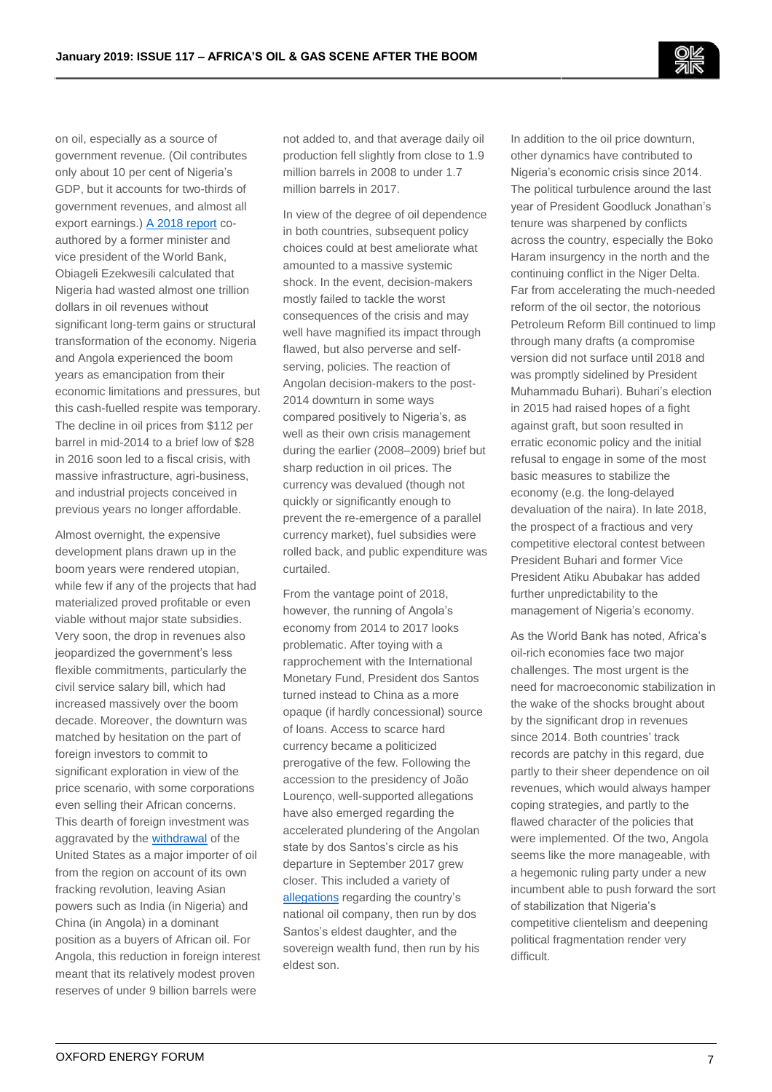on oil, especially as a source of government revenue. (Oil contributes only about 10 per cent of Nigeria's GDP, but it accounts for two-thirds of government revenues, and almost all export earnings.[\) A 2018 report](https://www.pulse.ng/bi/strategy/how-nigeria-wasted-1-trillion-during-five-major-oil-booms-id8751654.html) coauthored by a former minister and vice president of the World Bank, Obiageli Ezekwesili calculated that Nigeria had wasted almost one trillion dollars in oil revenues without significant long-term gains or structural transformation of the economy. Nigeria and Angola experienced the boom years as emancipation from their economic limitations and pressures, but this cash-fuelled respite was temporary. The decline in oil prices from \$112 per barrel in mid-2014 to a brief low of \$28 in 2016 soon led to a fiscal crisis, with massive infrastructure, agri-business, and industrial projects conceived in previous years no longer affordable.

Almost overnight, the expensive development plans drawn up in the boom years were rendered utopian, while few if any of the projects that had materialized proved profitable or even viable without major state subsidies. Very soon, the drop in revenues also jeopardized the government's less flexible commitments, particularly the civil service salary bill, which had increased massively over the boom decade. Moreover, the downturn was matched by hesitation on the part of foreign investors to commit to significant exploration in view of the price scenario, with some corporations even selling their African concerns. This dearth of foreign investment was aggravated by the [withdrawal](https://www.premiumtimesng.com/business/business-news/269530-india-largest-importer-of-nigerias-crude-oil-in-2017-nnpc.html) of the United States as a major importer of oil from the region on account of its own fracking revolution, leaving Asian powers such as India (in Nigeria) and China (in Angola) in a dominant position as a buyers of African oil. For Angola, this reduction in foreign interest meant that its relatively modest proven reserves of under 9 billion barrels were

not added to, and that average daily oil production fell slightly from close to 1.9 million barrels in 2008 to under 1.7 million barrels in 2017.

In view of the degree of oil dependence in both countries, subsequent policy choices could at best ameliorate what amounted to a massive systemic shock. In the event, decision-makers mostly failed to tackle the worst consequences of the crisis and may well have magnified its impact through flawed, but also perverse and selfserving, policies. The reaction of Angolan decision-makers to the post-2014 downturn in some ways compared positively to Nigeria's, as well as their own crisis management during the earlier (2008–2009) brief but sharp reduction in oil prices. The currency was devalued (though not quickly or significantly enough to prevent the re-emergence of a parallel currency market), fuel subsidies were rolled back, and public expenditure was curtailed.

From the vantage point of 2018, however, the running of Angola's economy from 2014 to 2017 looks problematic. After toying with a rapprochement with the International Monetary Fund, President dos Santos turned instead to China as a more opaque (if hardly concessional) source of loans. Access to scarce hard currency became a politicized prerogative of the few. Following the accession to the presidency of João Lourenço, well-supported allegations have also emerged regarding the accelerated plundering of the Angolan state by dos Santos's circle as his departure in September 2017 grew closer. This included a variety of [allegations](https://www.reuters.com/article/angola-sonangol-isabel/angolas-isabel-dos-santos-denies-graft-allegations-by-oil-firm-chief-idUSL5N1QN2NY) regarding the country's national oil company, then run by dos Santos's eldest daughter, and the sovereign wealth fund, then run by his eldest son.

In addition to the oil price downturn, other dynamics have contributed to Nigeria's economic crisis since 2014. The political turbulence around the last year of President Goodluck Jonathan's tenure was sharpened by conflicts across the country, especially the Boko Haram insurgency in the north and the continuing conflict in the Niger Delta. Far from accelerating the much-needed reform of the oil sector, the notorious Petroleum Reform Bill continued to limp through many drafts (a compromise version did not surface until 2018 and was promptly sidelined by President Muhammadu Buhari). Buhari's election in 2015 had raised hopes of a fight against graft, but soon resulted in erratic economic policy and the initial refusal to engage in some of the most basic measures to stabilize the economy (e.g. the long-delayed devaluation of the naira). In late 2018, the prospect of a fractious and very competitive electoral contest between President Buhari and former Vice President Atiku Abubakar has added further unpredictability to the management of Nigeria's economy.

As the World Bank has noted, Africa's oil-rich economies face two major challenges. The most urgent is the need for macroeconomic stabilization in the wake of the shocks brought about by the significant drop in revenues since 2014. Both countries' track records are patchy in this regard, due partly to their sheer dependence on oil revenues, which would always hamper coping strategies, and partly to the flawed character of the policies that were implemented. Of the two, Angola seems like the more manageable, with a hegemonic ruling party under a new incumbent able to push forward the sort of stabilization that Nigeria's competitive clientelism and deepening political fragmentation render very difficult.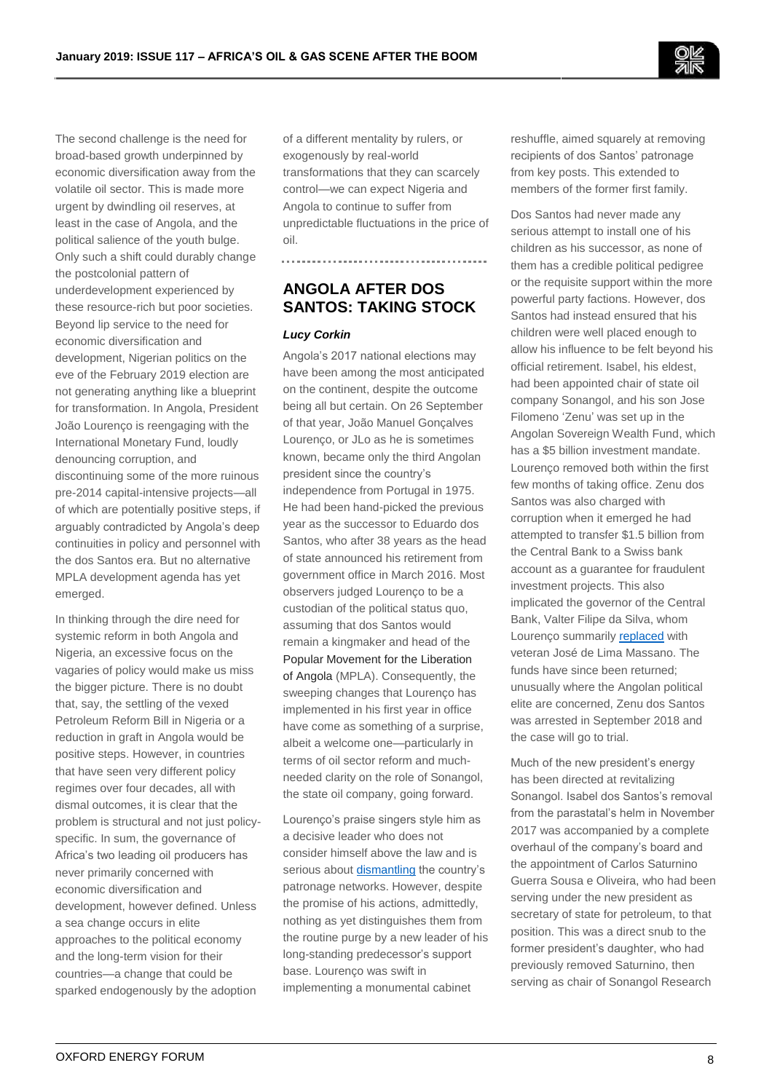

The second challenge is the need for broad-based growth underpinned by economic diversification away from the volatile oil sector. This is made more urgent by dwindling oil reserves, at least in the case of Angola, and the political salience of the youth bulge. Only such a shift could durably change the postcolonial pattern of underdevelopment experienced by these resource-rich but poor societies. Beyond lip service to the need for economic diversification and development, Nigerian politics on the eve of the February 2019 election are not generating anything like a blueprint for transformation. In Angola, President João Lourenço is reengaging with the International Monetary Fund, loudly denouncing corruption, and discontinuing some of the more ruinous pre-2014 capital-intensive projects—all of which are potentially positive steps, if arguably contradicted by Angola's deep continuities in policy and personnel with the dos Santos era. But no alternative MPLA development agenda has yet emerged.

In thinking through the dire need for systemic reform in both Angola and Nigeria, an excessive focus on the vagaries of policy would make us miss the bigger picture. There is no doubt that, say, the settling of the vexed Petroleum Reform Bill in Nigeria or a reduction in graft in Angola would be positive steps. However, in countries that have seen very different policy regimes over four decades, all with dismal outcomes, it is clear that the problem is structural and not just policyspecific. In sum, the governance of Africa's two leading oil producers has never primarily concerned with economic diversification and development, however defined. Unless a sea change occurs in elite approaches to the political economy and the long-term vision for their countries—a change that could be sparked endogenously by the adoption

of a different mentality by rulers, or exogenously by real-world transformations that they can scarcely control—we can expect Nigeria and Angola to continue to suffer from unpredictable fluctuations in the price of oil.

# **ANGOLA AFTER DOS SANTOS: TAKING STOCK**

#### *Lucy Corkin*

Angola's 2017 national elections may have been among the most anticipated on the continent, despite the outcome being all but certain. On 26 September of that year, João Manuel Gonçalves Lourenço, or JLo as he is sometimes known, became only the third Angolan president since the country's independence from Portugal in 1975. He had been hand-picked the previous year as the successor to Eduardo dos Santos, who after 38 years as the head of state announced his retirement from government office in March 2016. Most observers judged Lourenço to be a custodian of the political status quo, assuming that dos Santos would remain a kingmaker and head of the Popular Movement for the Liberation of Angola (MPLA). Consequently, the sweeping changes that Lourenço has implemented in his first year in office have come as something of a surprise, albeit a welcome one—particularly in terms of oil sector reform and muchneeded clarity on the role of Sonangol, the state oil company, going forward.

Lourenço's praise singers style him as a decisive leader who does not consider himself above the law and is serious abou[t dismantling](https://www.bloomberg.com/news/articles/2018-01-17/-terminator-lourenco-proves-he-s-no-one-s-puppet-in-angola) the country's patronage networks. However, despite the promise of his actions, admittedly, nothing as yet distinguishes them from the routine purge by a new leader of his long-standing predecessor's support base. Lourenço was swift in implementing a monumental cabinet

reshuffle, aimed squarely at removing recipients of dos Santos' patronage from key posts. This extended to members of the former first family.

Dos Santos had never made any serious attempt to install one of his children as his successor, as none of them has a credible political pedigree or the requisite support within the more powerful party factions. However, dos Santos had instead ensured that his children were well placed enough to allow his influence to be felt beyond his official retirement. Isabel, his eldest, had been appointed chair of state oil company Sonangol, and his son Jose Filomeno 'Zenu' was set up in the Angolan Sovereign Wealth Fund, which has a \$5 billion investment mandate. Lourenço removed both within the first few months of taking office. Zenu dos Santos was also charged with corruption when it emerged he had attempted to transfer \$1.5 billion from the Central Bank to a Swiss bank account as a guarantee for fraudulent investment projects. This also implicated the governor of the Central Bank, Valter Filipe da Silva, whom Lourenço summarily [replaced](https://www.bloomberg.com/news/articles/2018-03-26/angola-to-charge-dos-santos-son-in-fraud-case-mfm-radio-reports) with veteran José de Lima Massano. The funds have since been returned; unusually where the Angolan political elite are concerned, Zenu dos Santos was arrested in September 2018 and the case will go to trial.

Much of the new president's energy has been directed at revitalizing Sonangol. Isabel dos Santos's removal from the parastatal's helm in November 2017 was accompanied by a complete overhaul of the company's board and the appointment of Carlos Saturnino Guerra Sousa e Oliveira, who had been serving under the new president as secretary of state for petroleum, to that position. This was a direct snub to the former president's daughter, who had previously removed Saturnino, then serving as chair of Sonangol Research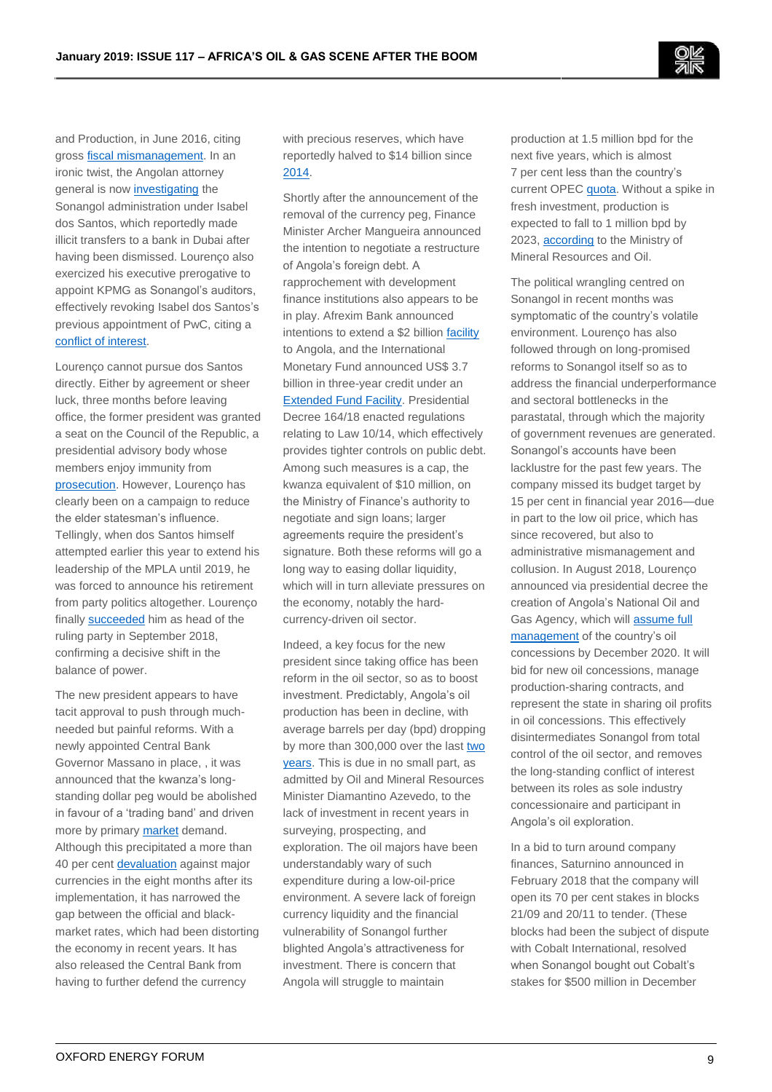and Production, in June 2016, citing gross **fiscal mismanagement**. In an ironic twist, the Angolan attorney general is now [investigating](https://mozambiqueminingpost.com/2018/03/02/africa-oil-gas-former-sonangol-administration-under-investigation-by-angola-attorney-general/) the Sonangol administration under Isabel dos Santos, which reportedly made illicit transfers to a bank in Dubai after having been dismissed. Lourenço also exercized his executive prerogative to appoint KPMG as Sonangol's auditors, effectively revoking Isabel dos Santos's previous appointment of PwC, citing a [conflict of interest.](https://mozambiqueminingpost.com/2018/02/13/africa-oil-gas-angola-pays-kpmg-e15mi-to-check-isabel-dos-santos-accounts-at-sonangol/)

Lourenço cannot pursue dos Santos directly. Either by agreement or sheer luck, three months before leaving office, the former president was granted a seat on the Council of the Republic, a presidential advisory body whose members enjoy immunity from [prosecution.](https://qz.com/1130420/africas-richest-woman-has-been-fired-from-angolas-state-oil-firm-by-the-new-president/) However, Lourenço has clearly been on a campaign to reduce the elder statesman's influence. Tellingly, when dos Santos himself attempted earlier this year to extend his leadership of the MPLA until 2019, he was forced to announce his retirement from party politics altogether. Lourenço finally [succeeded](https://www.news24.com/Africa/News/dos-santos-to-stand-down-as-head-of-angola-ruling-party-20180427) him as head of the ruling party in September 2018, confirming a decisive shift in the balance of power.

The new president appears to have tacit approval to push through muchneeded but painful reforms. With a newly appointed Central Bank Governor Massano in place, , it was announced that the kwanza's longstanding dollar peg would be abolished in favour of a 'trading band' and driven more by primary [market](https://www.cnbcafrica.com/news/financial/2018/01/05/angola-currency/) demand. Although this precipitated a more than 40 per cent [devaluation](https://macauhub.com.mo/2018/09/28/pt-kwanza-de-angola-perde-mais-de-46-do-seu-valor-face-ao-euro/) against major currencies in the eight months after its implementation, it has narrowed the gap between the official and blackmarket rates, which had been distorting the economy in recent years. It has also released the Central Bank from having to further defend the currency

with precious reserves, which have reportedly halved to \$14 billion since [2014.](https://www.timeslive.co.za/news/africa/2018-01-28-angola-faces-currency-test-in-economy-shake-up/)

Shortly after the announcement of the removal of the currency peg, Finance Minister Archer Mangueira announced the intention to negotiate a restructure of Angola's foreign debt. A rapprochement with development finance institutions also appears to be in play. Afrexim Bank announced intentions to extend a \$2 billion [facility](https://africabusinesscommunities.com/news/angola-receives-$2billion-financing-support-from-afreximbank/) to Angola, and the International Monetary Fund announced US\$ 3.7 billion in three-year credit under an [Extended Fund Facility.](https://www.news24.com/Africa/News/angola-says-to-request-45bn-imf-loan-as-crisis-lingers-20180829) Presidential Decree 164/18 enacted regulations relating to Law 10/14, which effectively provides tighter controls on public debt. Among such measures is a cap, the kwanza equivalent of \$10 million, on the Ministry of Finance's authority to negotiate and sign loans; larger agreements require the president's signature. Both these reforms will go a long way to easing dollar liquidity, which will in turn alleviate pressures on the economy, notably the hardcurrency-driven oil sector.

Indeed, a key focus for the new president since taking office has been reform in the oil sector, so as to boost investment. Predictably, Angola's oil production has been in decline, with average barrels per day (bpd) dropping by more than 300,000 over the las[t two](https://seekingalpha.com/news/3360065-total-sonangol-reach-deals-help-boost-angola-oil-production)  [years.](https://seekingalpha.com/news/3360065-total-sonangol-reach-deals-help-boost-angola-oil-production) This is due in no small part, as admitted by Oil and Mineral Resources Minister Diamantino Azevedo, to the lack of investment in recent years in surveying, prospecting, and exploration. The oil majors have been understandably wary of such expenditure during a low-oil-price environment. A severe lack of foreign currency liquidity and the financial vulnerability of Sonangol further blighted Angola's attractiveness for investment. There is concern that Angola will struggle to maintain

production at 1.5 million bpd for the next five years, which is almost 7 per cent less than the country's current OPEC [quota.](https://macauhub.com.mo/2018/05/25/pt-economia-de-angola-com-crescimento-previsto-entre-22-e-25-em-2018/) Without a spike in fresh investment, production is expected to fall to 1 million bpd by 2023[, according](https://af.reuters.com/article/angolaNews/idAFL5N1V72DI) to the Ministry of Mineral Resources and Oil.

The political wrangling centred on Sonangol in recent months was symptomatic of the country's volatile environment. Lourenço has also followed through on long-promised reforms to Sonangol itself so as to address the financial underperformance and sectoral bottlenecks in the parastatal, through which the majority of government revenues are generated. Sonangol's accounts have been lacklustre for the past few years. The company missed its budget target by 15 per cent in financial year 2016—due in part to the low oil price, which has since recovered, but also to administrative mismanagement and collusion. In August 2018, Lourenço announced via presidential decree the creation of Angola's National Oil and Gas Agency, which will [assume full](https://macauhub.com.mo/2018/08/16/pt-governo-de-angola-cria-comissao-instaladora-da-agencia-nacional-de-petroleos-e-gas/)  [management](https://macauhub.com.mo/2018/08/16/pt-governo-de-angola-cria-comissao-instaladora-da-agencia-nacional-de-petroleos-e-gas/) of the country's oil concessions by December 2020. It will bid for new oil concessions, manage production-sharing contracts, and represent the state in sharing oil profits in oil concessions. This effectively disintermediates Sonangol from total control of the oil sector, and removes the long-standing conflict of interest between its roles as sole industry concessionaire and participant in Angola's oil exploration.

In a bid to turn around company finances, Saturnino announced in February 2018 that the company will open its 70 per cent stakes in blocks 21/09 and 20/11 to tender. (These blocks had been the subject of dispute with Cobalt International, resolved when Sonangol bought out Cobalt's stakes for \$500 million in December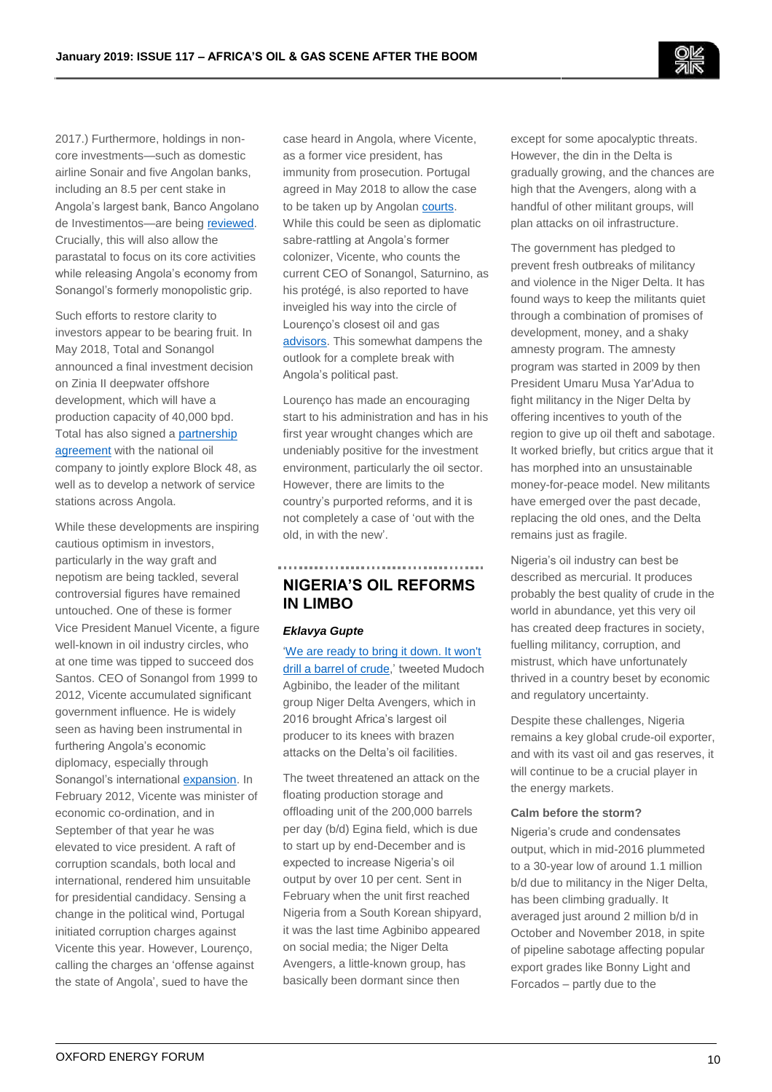2017.) Furthermore, holdings in noncore investments—such as domestic airline Sonair and five Angolan banks, including an 8.5 per cent stake in Angola's largest bank, Banco Angolano de Investimentos—are bein[g reviewed.](https://www.reuters.com/article/angola-sonangol/update-2-angola-oil-production-seen-steady-in-2018-sonangol-idUSL8N1QI2W7) Crucially, this will also allow the parastatal to focus on its core activities while releasing Angola's economy from Sonangol's formerly monopolistic grip.

Such efforts to restore clarity to investors appear to be bearing fruit. In May 2018, Total and Sonangol announced a final investment decision on Zinia II deepwater offshore development, which will have a production capacity of 40,000 bpd. Total has also signed [a partnership](https://seekingalpha.com/news/3360065-total-sonangol-reach-deals-help-boost-angola-oil-production)  [agreement](https://seekingalpha.com/news/3360065-total-sonangol-reach-deals-help-boost-angola-oil-production) with the national oil company to jointly explore Block 48, as well as to develop a network of service stations across Angola.

While these developments are inspiring cautious optimism in investors, particularly in the way graft and nepotism are being tackled, several controversial figures have remained untouched. One of these is former Vice President Manuel Vicente, a figure well-known in oil industry circles, who at one time was tipped to succeed dos Santos. CEO of Sonangol from 1999 to 2012, Vicente accumulated significant government influence. He is widely seen as having been instrumental in furthering Angola's economic diplomacy, especially through Sonangol's international [expansion.](http://www.economist.com/node/21525847) In February 2012, Vicente was minister of economic co-ordination, and in September of that year he was elevated to vice president. A raft of corruption scandals, both local and international, rendered him unsuitable for presidential candidacy. Sensing a change in the political wind, Portugal initiated corruption charges against Vicente this year. However, Lourenço, calling the charges an 'offense against the state of Angola', sued to have the

case heard in Angola, where Vicente, as a former vice president, has immunity from prosecution. Portugal agreed in May 2018 to allow the case to be taken up by Angolan [courts.](https://www.reuters.com/article/portugal-angola-corruption/portugal-lets-angola-try-ex-vp-in-graft-case-hopes-to-improve-ties-idUSL8N1SH7EV) While this could be seen as diplomatic sabre-rattling at Angola's former colonizer, Vicente, who counts the current CEO of Sonangol, Saturnino, as his protégé, is also reported to have inveigled his way into the circle of Lourenço's closest oil and gas [advisors.](https://www.africa-confidential.com/article/id/12309/Obrigado_e_tchau%2C_Dos_Santos) This somewhat dampens the outlook for a complete break with Angola's political past.

Lourenço has made an encouraging start to his administration and has in his first year wrought changes which are undeniably positive for the investment environment, particularly the oil sector. However, there are limits to the country's purported reforms, and it is not completely a case of 'out with the old, in with the new'.

# **NIGERIA'S OIL REFORMS IN LIMBO**

## *Eklavya Gupte*

['We are ready to bring it down. It won't](https://twitter.com/AgbiniboND/status/961319625538658305)  [drill a barrel of crude,](https://twitter.com/AgbiniboND/status/961319625538658305)' tweeted Mudoch Agbinibo, the leader of the militant group Niger Delta Avengers, which in 2016 brought Africa's largest oil producer to its knees with brazen attacks on the Delta's oil facilities.

The tweet threatened an attack on the floating production storage and offloading unit of the 200,000 barrels per day (b/d) Egina field, which is due to start up by end-December and is expected to increase Nigeria's oil output by over 10 per cent. Sent in February when the unit first reached Nigeria from a South Korean shipyard, it was the last time Agbinibo appeared on social media; the Niger Delta Avengers, a little-known group, has basically been dormant since then

except for some apocalyptic threats. However, the din in the Delta is gradually growing, and the chances are high that the Avengers, along with a handful of other militant groups, will plan attacks on oil infrastructure.

The government has pledged to prevent fresh outbreaks of militancy and violence in the Niger Delta. It has found ways to keep the militants quiet through a combination of promises of development, money, and a shaky amnesty program. The amnesty program was started in 2009 by then President Umaru Musa Yar'Adua to fight militancy in the Niger Delta by offering incentives to youth of the region to give up oil theft and sabotage. It worked briefly, but critics argue that it has morphed into an unsustainable money-for-peace model. New militants have emerged over the past decade, replacing the old ones, and the Delta remains just as fragile.

Nigeria's oil industry can best be described as mercurial. It produces probably the best quality of crude in the world in abundance, yet this very oil has created deep fractures in society, fuelling militancy, corruption, and mistrust, which have unfortunately thrived in a country beset by economic and regulatory uncertainty.

Despite these challenges, Nigeria remains a key global crude-oil exporter, and with its vast oil and gas reserves, it will continue to be a crucial player in the energy markets.

#### **Calm before the storm?**

Nigeria's crude and condensates output, which in mid-2016 plummeted to a 30-year low of around 1.1 million b/d due to militancy in the Niger Delta, has been climbing gradually. It averaged just around 2 million b/d in October and November 2018, in spite of pipeline sabotage affecting popular export grades like Bonny Light and Forcados – partly due to the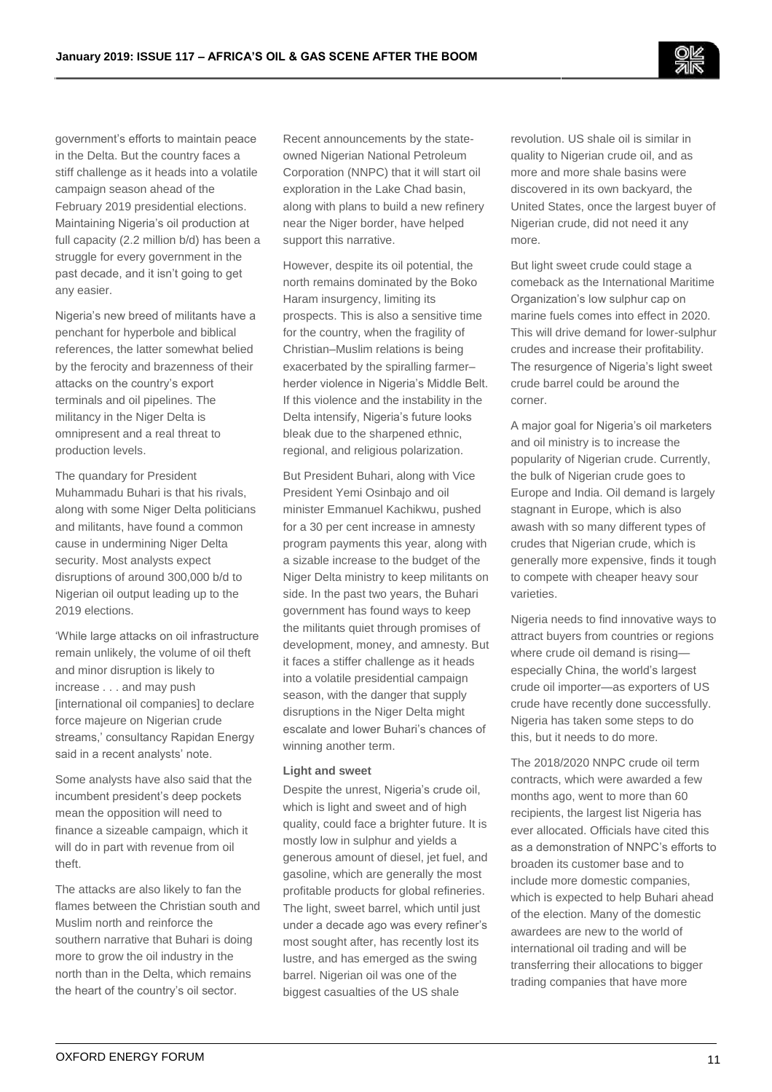government's efforts to maintain peace in the Delta. But the country faces a stiff challenge as it heads into a volatile campaign season ahead of the February 2019 presidential elections. Maintaining Nigeria's oil production at full capacity (2.2 million b/d) has been a struggle for every government in the past decade, and it isn't going to get any easier.

Nigeria's new breed of militants have a penchant for hyperbole and biblical references, the latter somewhat belied by the ferocity and brazenness of their attacks on the country's export terminals and oil pipelines. The militancy in the Niger Delta is omnipresent and a real threat to production levels.

The quandary for President Muhammadu Buhari is that his rivals, along with some Niger Delta politicians and militants, have found a common cause in undermining Niger Delta security. Most analysts expect disruptions of around 300,000 b/d to Nigerian oil output leading up to the 2019 elections.

'While large attacks on oil infrastructure remain unlikely, the volume of oil theft and minor disruption is likely to increase . . . and may push [international oil companies] to declare force majeure on Nigerian crude streams,' consultancy Rapidan Energy said in a recent analysts' note.

Some analysts have also said that the incumbent president's deep pockets mean the opposition will need to finance a sizeable campaign, which it will do in part with revenue from oil theft.

The attacks are also likely to fan the flames between the Christian south and Muslim north and reinforce the southern narrative that Buhari is doing more to grow the oil industry in the north than in the Delta, which remains the heart of the country's oil sector.

Recent announcements by the stateowned Nigerian National Petroleum Corporation (NNPC) that it will start oil exploration in the Lake Chad basin, along with plans to build a new refinery near the Niger border, have helped support this narrative.

However, despite its oil potential, the north remains dominated by the Boko Haram insurgency, limiting its prospects. This is also a sensitive time for the country, when the fragility of Christian–Muslim relations is being exacerbated by the spiralling farmer– herder violence in Nigeria's Middle Belt. If this violence and the instability in the Delta intensify, Nigeria's future looks bleak due to the sharpened ethnic, regional, and religious polarization.

But President Buhari, along with Vice President Yemi Osinbajo and oil minister Emmanuel Kachikwu, pushed for a 30 per cent increase in amnesty program payments this year, along with a sizable increase to the budget of the Niger Delta ministry to keep militants on side. In the past two years, the Buhari government has found ways to keep the militants quiet through promises of development, money, and amnesty. But it faces a stiffer challenge as it heads into a volatile presidential campaign season, with the danger that supply disruptions in the Niger Delta might escalate and lower Buhari's chances of winning another term.

### **Light and sweet**

Despite the unrest, Nigeria's crude oil, which is light and sweet and of high quality, could face a brighter future. It is mostly low in sulphur and yields a generous amount of diesel, jet fuel, and gasoline, which are generally the most profitable products for global refineries. The light, sweet barrel, which until just under a decade ago was every refiner's most sought after, has recently lost its lustre, and has emerged as the swing barrel. Nigerian oil was one of the biggest casualties of the US shale

revolution. US shale oil is similar in quality to Nigerian crude oil, and as more and more shale basins were discovered in its own backyard, the United States, once the largest buyer of Nigerian crude, did not need it any more.

But light sweet crude could stage a comeback as the International Maritime Organization's low sulphur cap on marine fuels comes into effect in 2020. This will drive demand for lower-sulphur crudes and increase their profitability. The resurgence of Nigeria's light sweet crude barrel could be around the corner.

A major goal for Nigeria's oil marketers and oil ministry is to increase the popularity of Nigerian crude. Currently, the bulk of Nigerian crude goes to Europe and India. Oil demand is largely stagnant in Europe, which is also awash with so many different types of crudes that Nigerian crude, which is generally more expensive, finds it tough to compete with cheaper heavy sour varieties.

Nigeria needs to find innovative ways to attract buyers from countries or regions where crude oil demand is rising especially China, the world's largest crude oil importer—as exporters of US crude have recently done successfully. Nigeria has taken some steps to do this, but it needs to do more.

The 2018/2020 NNPC crude oil term contracts, which were awarded a few months ago, went to more than 60 recipients, the largest list Nigeria has ever allocated. Officials have cited this as a demonstration of NNPC's efforts to broaden its customer base and to include more domestic companies, which is expected to help Buhari ahead of the election. Many of the domestic awardees are new to the world of international oil trading and will be transferring their allocations to bigger trading companies that have more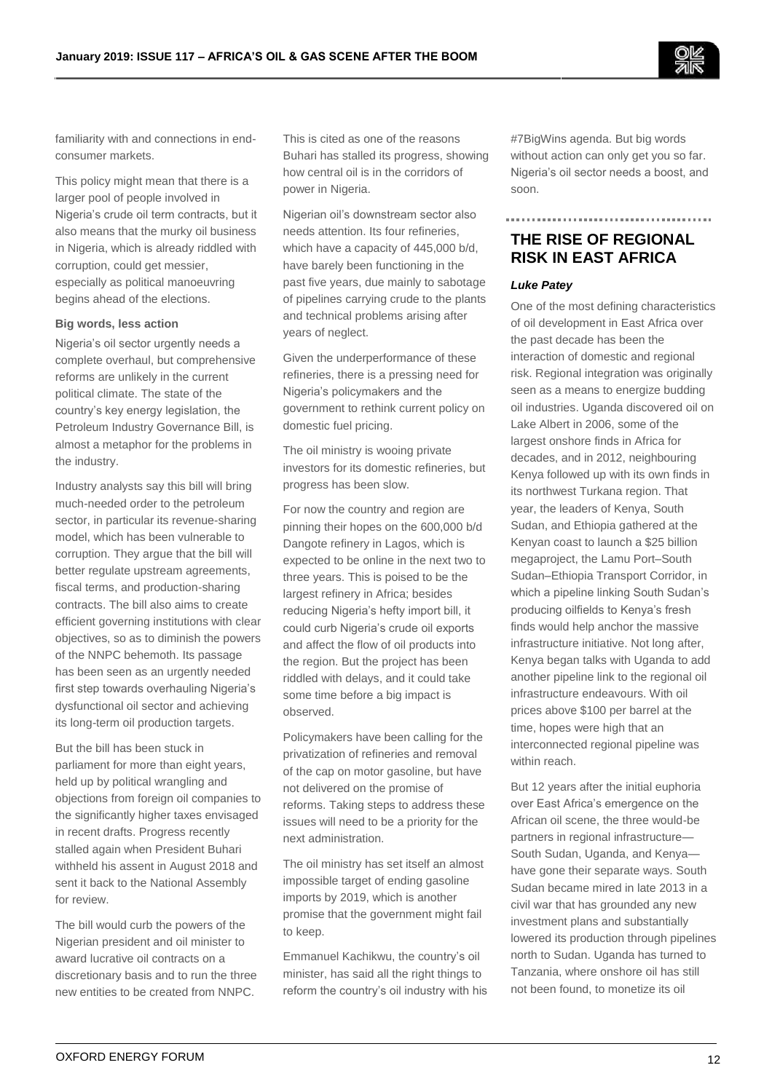

familiarity with and connections in endconsumer markets.

This policy might mean that there is a larger pool of people involved in Nigeria's crude oil term contracts, but it also means that the murky oil business in Nigeria, which is already riddled with corruption, could get messier, especially as political manoeuvring begins ahead of the elections.

#### **Big words, less action**

Nigeria's oil sector urgently needs a complete overhaul, but comprehensive reforms are unlikely in the current political climate. The state of the country's key energy legislation, the Petroleum Industry Governance Bill, is almost a metaphor for the problems in the industry.

Industry analysts say this bill will bring much-needed order to the petroleum sector, in particular its revenue-sharing model, which has been vulnerable to corruption. They argue that the bill will better regulate upstream agreements, fiscal terms, and production-sharing contracts. The bill also aims to create efficient governing institutions with clear objectives, so as to diminish the powers of the NNPC behemoth. Its passage has been seen as an urgently needed first step towards overhauling Nigeria's dysfunctional oil sector and achieving its long-term oil production targets.

But the bill has been stuck in parliament for more than eight years, held up by political wrangling and objections from foreign oil companies to the significantly higher taxes envisaged in recent drafts. Progress recently stalled again when President Buhari withheld his assent in August 2018 and sent it back to the National Assembly for review.

The bill would curb the powers of the Nigerian president and oil minister to award lucrative oil contracts on a discretionary basis and to run the three new entities to be created from NNPC.

This is cited as one of the reasons Buhari has stalled its progress, showing how central oil is in the corridors of power in Nigeria.

Nigerian oil's downstream sector also needs attention. Its four refineries, which have a capacity of 445,000 b/d, have barely been functioning in the past five years, due mainly to sabotage of pipelines carrying crude to the plants and technical problems arising after years of neglect.

Given the underperformance of these refineries, there is a pressing need for Nigeria's policymakers and the government to rethink current policy on domestic fuel pricing.

The oil ministry is wooing private investors for its domestic refineries, but progress has been slow.

For now the country and region are pinning their hopes on the 600,000 b/d Dangote refinery in Lagos, which is expected to be online in the next two to three years. This is poised to be the largest refinery in Africa; besides reducing Nigeria's hefty import bill, it could curb Nigeria's crude oil exports and affect the flow of oil products into the region. But the project has been riddled with delays, and it could take some time before a big impact is observed.

Policymakers have been calling for the privatization of refineries and removal of the cap on motor gasoline, but have not delivered on the promise of reforms. Taking steps to address these issues will need to be a priority for the next administration.

The oil ministry has set itself an almost impossible target of ending gasoline imports by 2019, which is another promise that the government might fail to keep.

Emmanuel Kachikwu, the country's oil minister, has said all the right things to reform the country's oil industry with his #7BigWins agenda. But big words without action can only get you so far. Nigeria's oil sector needs a boost, and soon.

# **THE RISE OF REGIONAL RISK IN EAST AFRICA**

## *Luke Patey*

One of the most defining characteristics of oil development in East Africa over the past decade has been the interaction of domestic and regional risk. Regional integration was originally seen as a means to energize budding oil industries. Uganda discovered oil on Lake Albert in 2006, some of the largest onshore finds in Africa for decades, and in 2012, neighbouring Kenya followed up with its own finds in its northwest Turkana region. That year, the leaders of Kenya, South Sudan, and Ethiopia gathered at the Kenyan coast to launch a \$25 billion megaproject, the Lamu Port–South Sudan–Ethiopia Transport Corridor, in which a pipeline linking South Sudan's producing oilfields to Kenya's fresh finds would help anchor the massive infrastructure initiative. Not long after, Kenya began talks with Uganda to add another pipeline link to the regional oil infrastructure endeavours. With oil prices above \$100 per barrel at the time, hopes were high that an interconnected regional pipeline was within reach.

But 12 years after the initial euphoria over East Africa's emergence on the African oil scene, the three would-be partners in regional infrastructure— South Sudan, Uganda, and Kenya have gone their separate ways. South Sudan became mired in late 2013 in a civil war that has grounded any new investment plans and substantially lowered its production through pipelines north to Sudan. Uganda has turned to Tanzania, where onshore oil has still not been found, to monetize its oil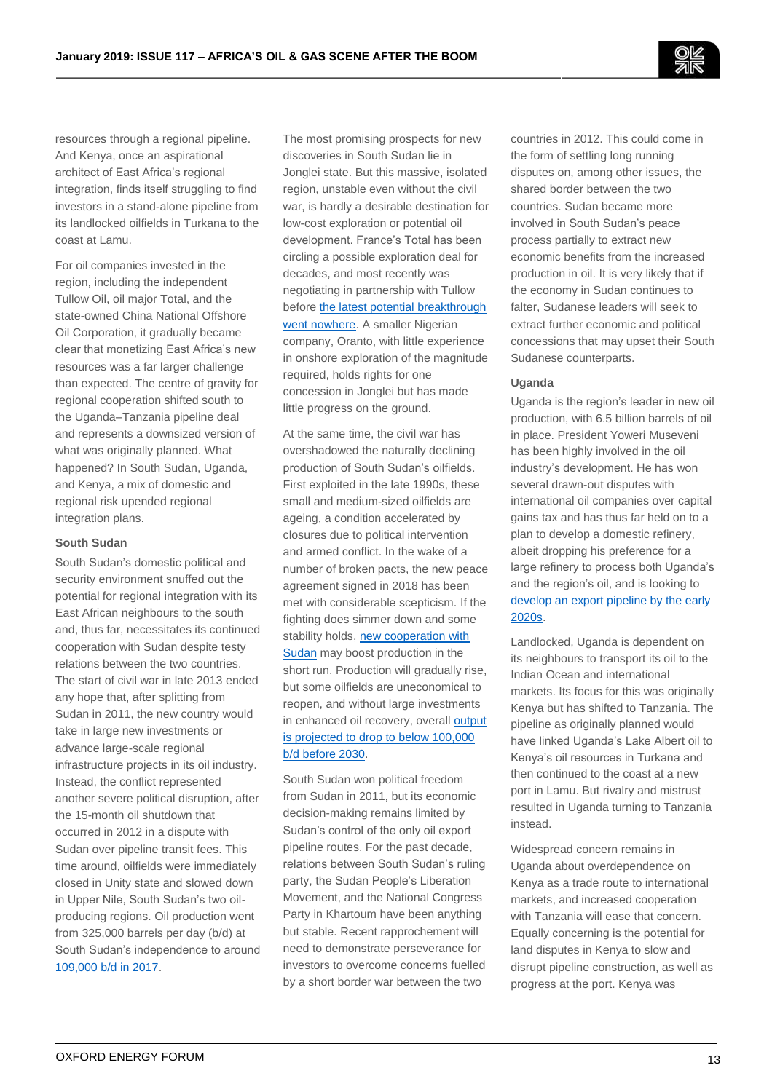resources through a regional pipeline. And Kenya, once an aspirational architect of East Africa's regional integration, finds itself struggling to find investors in a stand-alone pipeline from its landlocked oilfields in Turkana to the coast at Lamu.

For oil companies invested in the region, including the independent Tullow Oil, oil major Total, and the state-owned China National Offshore Oil Corporation, it gradually became clear that monetizing East Africa's new resources was a far larger challenge than expected. The centre of gravity for regional cooperation shifted south to the Uganda–Tanzania pipeline deal and represents a downsized version of what was originally planned. What happened? In South Sudan, Uganda, and Kenya, a mix of domestic and regional risk upended regional integration plans.

#### **South Sudan**

South Sudan's domestic political and security environment snuffed out the potential for regional integration with its East African neighbours to the south and, thus far, necessitates its continued cooperation with Sudan despite testy relations between the two countries. The start of civil war in late 2013 ended any hope that, after splitting from Sudan in 2011, the new country would take in large new investments or advance large-scale regional infrastructure projects in its oil industry. Instead, the conflict represented another severe political disruption, after the 15-month oil shutdown that occurred in 2012 in a dispute with Sudan over pipeline transit fees. This time around, oilfields were immediately closed in Unity state and slowed down in Upper Nile, South Sudan's two oilproducing regions. Oil production went from 325,000 barrels per day (b/d) at South Sudan's independence to around [109,000 b/d in 2017.](https://www.bp.com/content/dam/bp/en/corporate/pdf/energy-economics/statistical-review/bp-stats-review-2018-full-report.pdf)

The most promising prospects for new discoveries in South Sudan lie in Jonglei state. But this massive, isolated region, unstable even without the civil war, is hardly a desirable destination for low-cost exploration or potential oil development. France's Total has been circling a possible exploration deal for decades, and most recently was negotiating in partnership with Tullow before the latest potential breakthrough went nowhere</u>. A smaller Nigerian company, Oranto, with little experience in onshore exploration of the magnitude required, holds rights for one concession in Jonglei but has made little progress on the ground.

At the same time, the civil war has overshadowed the naturally declining production of South Sudan's oilfields. First exploited in the late 1990s, these small and medium-sized oilfields are ageing, a condition accelerated by closures due to political intervention and armed conflict. In the wake of a number of broken pacts, the new peace agreement signed in 2018 has been met with considerable scepticism. If the fighting does simmer down and some stability holds, [new cooperation with](https://www.voanews.com/a/south-sudan-sudan-repair-damaged-oil-infrastructure/4429090.html)  [Sudan](https://www.voanews.com/a/south-sudan-sudan-repair-damaged-oil-infrastructure/4429090.html) may boost production in the short run. Production will gradually rise, but some oilfields are uneconomical to reopen, and without large investments in enhanced oil recovery, overall [output](http://www.smallarmssurveysudan.org/fileadmin/docs/working-papers/HSBA-WP40-Oil.pdf)  [is projected to drop to below 100,000](http://www.smallarmssurveysudan.org/fileadmin/docs/working-papers/HSBA-WP40-Oil.pdf)  [b/d before 2030.](http://www.smallarmssurveysudan.org/fileadmin/docs/working-papers/HSBA-WP40-Oil.pdf)

South Sudan won political freedom from Sudan in 2011, but its economic decision-making remains limited by Sudan's control of the only oil export pipeline routes. For the past decade, relations between South Sudan's ruling party, the Sudan People's Liberation Movement, and the National Congress Party in Khartoum have been anything but stable. Recent rapprochement will need to demonstrate perseverance for investors to overcome concerns fuelled by a short border war between the two

countries in 2012. This could come in the form of settling long running disputes on, among other issues, the shared border between the two countries. Sudan became more involved in South Sudan's peace process partially to extract new economic benefits from the increased production in oil. It is very likely that if the economy in Sudan continues to falter, Sudanese leaders will seek to extract further economic and political concessions that may upset their South Sudanese counterparts.

## **Uganda**

Uganda is the region's leader in new oil production, with 6.5 billion barrels of oil in place. President Yoweri Museveni has been highly involved in the oil industry's development. He has won several drawn-out disputes with international oil companies over capital gains tax and has thus far held on to a plan to develop a domestic refinery, albeit dropping his preference for a large refinery to process both Uganda's and the region's oil, and is looking to develop an export pipeline by the early [2020s.](http://www.petroleum-economist.com/articles/politics-economics/africa/2017/ugandas-ambitious-oil-export-timetable)

Landlocked, Uganda is dependent on its neighbours to transport its oil to the Indian Ocean and international markets. Its focus for this was originally Kenya but has shifted to Tanzania. The pipeline as originally planned would have linked Uganda's Lake Albert oil to Kenya's oil resources in Turkana and then continued to the coast at a new port in Lamu. But rivalry and mistrust resulted in Uganda turning to Tanzania instead.

Widespread concern remains in Uganda about overdependence on Kenya as a trade route to international markets, and increased cooperation with Tanzania will ease that concern. Equally concerning is the potential for land disputes in Kenya to slow and disrupt pipeline construction, as well as progress at the port. Kenya was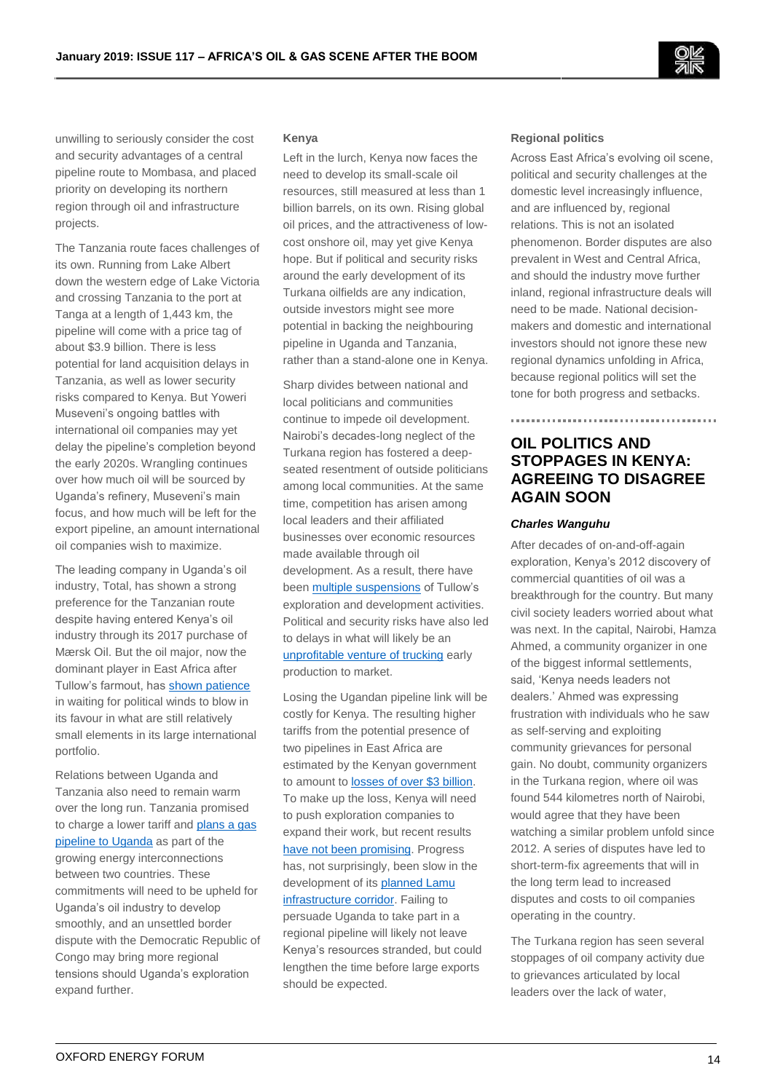

unwilling to seriously consider the cost and security advantages of a central pipeline route to Mombasa, and placed priority on developing its northern region through oil and infrastructure projects.

The Tanzania route faces challenges of its own. Running from Lake Albert down the western edge of Lake Victoria and crossing Tanzania to the port at Tanga at a length of 1,443 km, the pipeline will come with a price tag of about \$3.9 billion. There is less potential for land acquisition delays in Tanzania, as well as lower security risks compared to Kenya. But Yoweri Museveni's ongoing battles with international oil companies may yet delay the pipeline's completion beyond the early 2020s. Wrangling continues over how much oil will be sourced by Uganda's refinery, Museveni's main focus, and how much will be left for the export pipeline, an amount international oil companies wish to maximize.

The leading company in Uganda's oil industry, Total, has shown a strong preference for the Tanzanian route despite having entered Kenya's oil industry through its 2017 purchase of Mærsk Oil. But the oil major, now the dominant player in East Africa after Tullow's farmout, has [shown patience](https://www.independent.co.ug/bad-oil-deal/) in waiting for political winds to blow in its favour in what are still relatively small elements in its large international portfolio.

Relations between Uganda and Tanzania also need to remain warm over the long run. Tanzania promised to charge a lower tariff an[d plans a gas](https://www.standardmedia.co.ke/article/2001297510/tanzania-uganda-gas-pipeline-plan-to-kick-off-in-3-years)  [pipeline to Uganda](https://www.standardmedia.co.ke/article/2001297510/tanzania-uganda-gas-pipeline-plan-to-kick-off-in-3-years) as part of the growing energy interconnections between two countries. These commitments will need to be upheld for Uganda's oil industry to develop smoothly, and an unsettled border dispute with the Democratic Republic of Congo may bring more regional tensions should Uganda's exploration expand further.

#### **Kenya**

Left in the lurch, Kenya now faces the need to develop its small-scale oil resources, still measured at less than 1 billion barrels, on its own. Rising global oil prices, and the attractiveness of lowcost onshore oil, may yet give Kenya hope. But if political and security risks around the early development of its Turkana oilfields are any indication, outside investors might see more potential in backing the neighbouring pipeline in Uganda and Tanzania, rather than a stand-alone one in Kenya.

Sharp divides between national and local politicians and communities continue to impede oil development. Nairobi's decades-long neglect of the Turkana region has fostered a deepseated resentment of outside politicians among local communities. At the same time, competition has arisen among local leaders and their affiliated businesses over economic resources made available through oil development. As a result, there have bee[n multiple suspensions](https://www.bloomberg.com/news/articles/2018-07-17/tullow-oil-may-halt-turkana-operations-in-kenya-over-impasse) of Tullow's exploration and development activities. Political and security risks have also led to delays in what will likely be an [unprofitable venture of trucking](http://kcspog.org/early-oil-from-turkana-report/) early production to market.

Losing the Ugandan pipeline link will be costly for Kenya. The resulting higher tariffs from the potential presence of two pipelines in East Africa are estimated by the Kenyan government to amount to **losses of over \$3 billion**. To make up the loss, Kenya will need to push exploration companies to expand their work, but recent results [have not been promising.](http://www.oilnewskenya.com/africa-oil-relinquishes-kenyas-block-9/) Progress has, not surprisingly, been slow in the development of its planned Lamu [infrastructure corridor.](https://www.nation.co.ke/news/Kenyans-to-wait-longer-for-port-berth/1056-4786110-y065hdz/index.html) Failing to persuade Uganda to take part in a regional pipeline will likely not leave Kenya's resources stranded, but could lengthen the time before large exports should be expected.

#### **Regional politics**

Across East Africa's evolving oil scene, political and security challenges at the domestic level increasingly influence, and are influenced by, regional relations. This is not an isolated phenomenon. Border disputes are also prevalent in West and Central Africa, and should the industry move further inland, regional infrastructure deals will need to be made. National decisionmakers and domestic and international investors should not ignore these new regional dynamics unfolding in Africa, because regional politics will set the tone for both progress and setbacks.

# **OIL POLITICS AND STOPPAGES IN KENYA: AGREEING TO DISAGREE AGAIN SOON**

#### *Charles Wanguhu*

After decades of on-and-off-again exploration, Kenya's 2012 discovery of commercial quantities of oil was a breakthrough for the country. But many civil society leaders worried about what was next. In the capital, Nairobi, Hamza Ahmed, a community organizer in one of the biggest informal settlements, said, 'Kenya needs leaders not dealers.' Ahmed was expressing frustration with individuals who he saw as self-serving and exploiting community grievances for personal gain. No doubt, community organizers in the Turkana region, where oil was found 544 kilometres north of Nairobi, would agree that they have been watching a similar problem unfold since 2012. A series of disputes have led to short-term-fix agreements that will in the long term lead to increased disputes and costs to oil companies operating in the country.

The Turkana region has seen several stoppages of oil company activity due to grievances articulated by local leaders over the lack of water,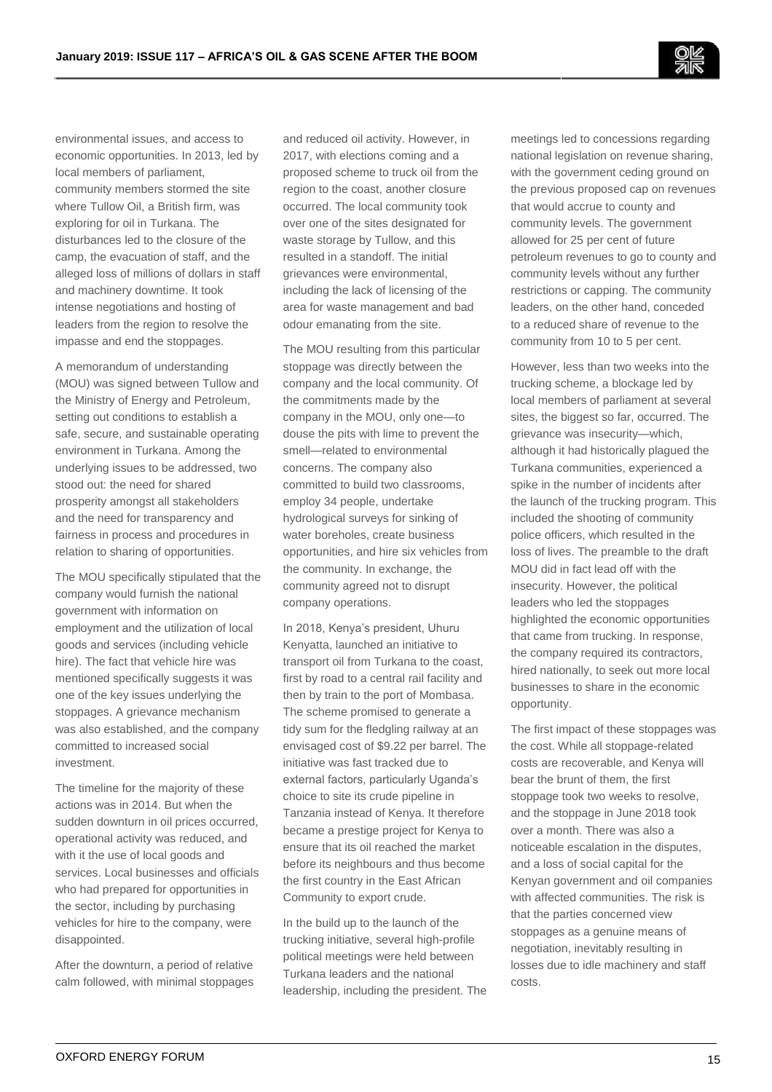environmental issues, and access to economic opportunities. In 2013, led by local members of parliament, community members stormed the site where Tullow Oil, a British firm, was exploring for oil in Turkana. The disturbances led to the closure of the camp, the evacuation of staff, and the alleged loss of millions of dollars in staff and machinery downtime. It took intense negotiations and hosting of leaders from the region to resolve the impasse and end the stoppages.

A memorandum of understanding (MOU) was signed between Tullow and the Ministry of Energy and Petroleum, setting out conditions to establish a safe, secure, and sustainable operating environment in Turkana. Among the underlying issues to be addressed, two stood out: the need for shared prosperity amongst all stakeholders and the need for transparency and fairness in process and procedures in relation to sharing of opportunities.

The MOU specifically stipulated that the company would furnish the national government with information on employment and the utilization of local goods and services (including vehicle hire). The fact that vehicle hire was mentioned specifically suggests it was one of the key issues underlying the stoppages. A grievance mechanism was also established, and the company committed to increased social investment.

The timeline for the majority of these actions was in 2014. But when the sudden downturn in oil prices occurred, operational activity was reduced, and with it the use of local goods and services. Local businesses and officials who had prepared for opportunities in the sector, including by purchasing vehicles for hire to the company, were disappointed.

After the downturn, a period of relative calm followed, with minimal stoppages and reduced oil activity. However, in 2017, with elections coming and a proposed scheme to truck oil from the region to the coast, another closure occurred. The local community took over one of the sites designated for waste storage by Tullow, and this resulted in a standoff. The initial grievances were environmental, including the lack of licensing of the area for waste management and bad odour emanating from the site.

The MOU resulting from this particular stoppage was directly between the company and the local community. Of the commitments made by the company in the MOU, only one—to douse the pits with lime to prevent the smell—related to environmental concerns. The company also committed to build two classrooms, employ 34 people, undertake hydrological surveys for sinking of water boreholes, create business opportunities, and hire six vehicles from the community. In exchange, the community agreed not to disrupt company operations.

In 2018, Kenya's president, Uhuru Kenyatta, launched an initiative to transport oil from Turkana to the coast, first by road to a central rail facility and then by train to the port of Mombasa. The scheme promised to generate a tidy sum for the fledgling railway at an envisaged cost of \$9.22 per barrel. The initiative was fast tracked due to external factors, particularly Uganda's choice to site its crude pipeline in Tanzania instead of Kenya. It therefore became a prestige project for Kenya to ensure that its oil reached the market before its neighbours and thus become the first country in the East African Community to export crude.

In the build up to the launch of the trucking initiative, several high-profile political meetings were held between Turkana leaders and the national leadership, including the president. The meetings led to concessions regarding national legislation on revenue sharing, with the government ceding ground on the previous proposed cap on revenues that would accrue to county and community levels. The government allowed for 25 per cent of future petroleum revenues to go to county and community levels without any further restrictions or capping. The community leaders, on the other hand, conceded to a reduced share of revenue to the community from 10 to 5 per cent.

However, less than two weeks into the trucking scheme, a blockage led by local members of parliament at several sites, the biggest so far, occurred. The grievance was insecurity—which, although it had historically plagued the Turkana communities, experienced a spike in the number of incidents after the launch of the trucking program. This included the shooting of community police officers, which resulted in the loss of lives. The preamble to the draft MOU did in fact lead off with the insecurity. However, the political leaders who led the stoppages highlighted the economic opportunities that came from trucking. In response, the company required its contractors, hired nationally, to seek out more local businesses to share in the economic opportunity.

The first impact of these stoppages was the cost. While all stoppage-related costs are recoverable, and Kenya will bear the brunt of them, the first stoppage took two weeks to resolve, and the stoppage in June 2018 took over a month. There was also a noticeable escalation in the disputes, and a loss of social capital for the Kenyan government and oil companies with affected communities. The risk is that the parties concerned view stoppages as a genuine means of negotiation, inevitably resulting in losses due to idle machinery and staff costs.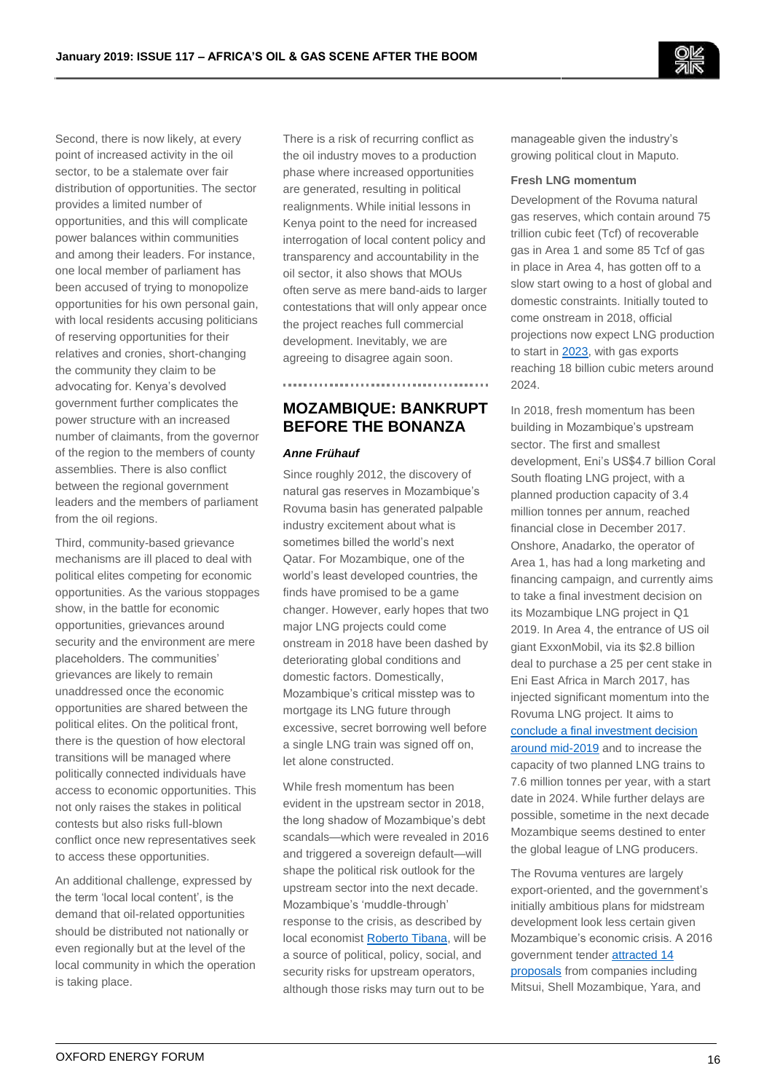Second, there is now likely, at every point of increased activity in the oil sector, to be a stalemate over fair distribution of opportunities. The sector provides a limited number of opportunities, and this will complicate power balances within communities and among their leaders. For instance, one local member of parliament has been accused of trying to monopolize opportunities for his own personal gain, with local residents accusing politicians of reserving opportunities for their relatives and cronies, short-changing the community they claim to be advocating for. Kenya's devolved government further complicates the power structure with an increased number of claimants, from the governor of the region to the members of county assemblies. There is also conflict between the regional government leaders and the members of parliament from the oil regions.

Third, community-based grievance mechanisms are ill placed to deal with political elites competing for economic opportunities. As the various stoppages show, in the battle for economic opportunities, grievances around security and the environment are mere placeholders. The communities' grievances are likely to remain unaddressed once the economic opportunities are shared between the political elites. On the political front, there is the question of how electoral transitions will be managed where politically connected individuals have access to economic opportunities. This not only raises the stakes in political contests but also risks full-blown conflict once new representatives seek to access these opportunities.

An additional challenge, expressed by the term 'local local content', is the demand that oil-related opportunities should be distributed not nationally or even regionally but at the level of the local community in which the operation is taking place.

There is a risk of recurring conflict as the oil industry moves to a production phase where increased opportunities are generated, resulting in political realignments. While initial lessons in Kenya point to the need for increased interrogation of local content policy and transparency and accountability in the oil sector, it also shows that MOUs often serve as mere band-aids to larger contestations that will only appear once the project reaches full commercial development. Inevitably, we are agreeing to disagree again soon.

# **MOZAMBIQUE: BANKRUPT BEFORE THE BONANZA**

#### *Anne Frühauf*

Since roughly 2012, the discovery of natural gas reserves in Mozambique's Rovuma basin has generated palpable industry excitement about what is sometimes billed the world's next Qatar. For Mozambique, one of the world's least developed countries, the finds have promised to be a game changer. However, early hopes that two major LNG projects could come onstream in 2018 have been dashed by deteriorating global conditions and domestic factors. Domestically, Mozambique's critical misstep was to mortgage its LNG future through excessive, secret borrowing well before a single LNG train was signed off on, let alone constructed.

While fresh momentum has been evident in the upstream sector in 2018, the long shadow of Mozambique's debt scandals—which were revealed in 2016 and triggered a sovereign default—will shape the political risk outlook for the upstream sector into the next decade. Mozambique's 'muddle-through' response to the crisis, as described by local economis[t Roberto Tibana,](https://analitica-rjt.com/product/mozambique-scenarios/) will be a source of political, policy, social, and security risks for upstream operators, although those risks may turn out to be

manageable given the industry's growing political clout in Maputo.

#### **Fresh LNG momentum**

Development of the Rovuma natural gas reserves, which contain around 75 trillion cubic feet (Tcf) of recoverable gas in Area 1 and some 85 Tcf of gas in place in Area 4, has gotten off to a slow start owing to a host of global and domestic constraints. Initially touted to come onstream in 2018, official projections now expect LNG production to start in [2023,](http://www.open.ac.uk/technology/mozambique/sites/www.open.ac.uk.technology.mozambique/files/files/20Mar2018_Mozambique_Presentation%20to%20Creditors.pdf) with gas exports reaching 18 billion cubic meters around 2024.

In 2018, fresh momentum has been building in Mozambique's upstream sector. The first and smallest development, Eni's US\$4.7 billion Coral South floating LNG project, with a planned production capacity of 3.4 million tonnes per annum, reached financial close in December 2017. Onshore, Anadarko, the operator of Area 1, has had a long marketing and financing campaign, and currently aims to take a final investment decision on its Mozambique LNG project in Q1 2019. In Area 4, the entrance of US oil giant ExxonMobil, via its \$2.8 billion deal to purchase a 25 per cent stake in Eni East Africa in March 2017, has injected significant momentum into the Rovuma LNG project. It aims to [conclude a final investment decision](https://www.reuters.com/article/us-exxon-mozambique-lng/exxon-beefs-up-mozambique-lng-project-to-cut-costs-ahead-of-bank-talks-idUSKBN1K22PG)  [around mid-2019](https://www.reuters.com/article/us-exxon-mozambique-lng/exxon-beefs-up-mozambique-lng-project-to-cut-costs-ahead-of-bank-talks-idUSKBN1K22PG) and to increase the capacity of two planned LNG trains to 7.6 million tonnes per year, with a start date in 2024. While further delays are possible, sometime in the next decade Mozambique seems destined to enter the global league of LNG producers.

The Rovuma ventures are largely export-oriented, and the government's initially ambitious plans for midstream development look less certain given Mozambique's economic crisis. A 2016 government tende[r attracted 14](https://zitamar.com/shell-puts-2-million-pursue-gtl-plant-mozambique/)  [proposals](https://zitamar.com/shell-puts-2-million-pursue-gtl-plant-mozambique/) from companies including Mitsui, Shell Mozambique, Yara, and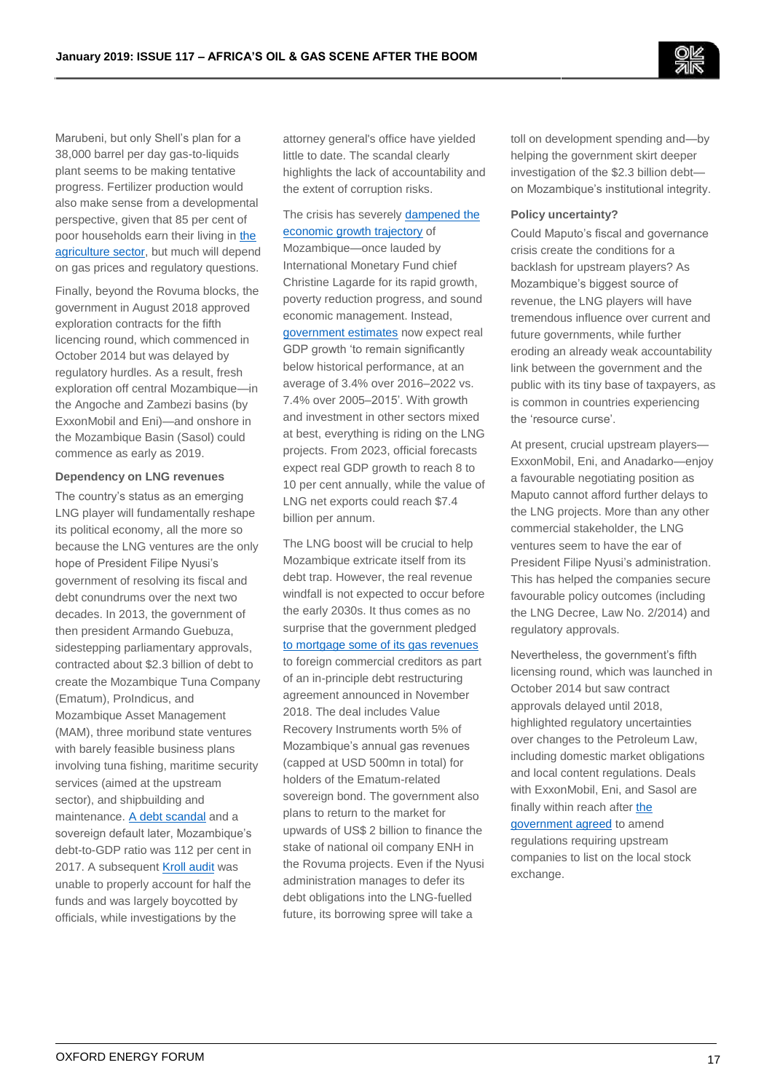Marubeni, but only Shell's plan for a 38,000 barrel per day gas-to-liquids plant seems to be making tentative progress. Fertilizer production would also make sense from a developmental perspective, given that 85 per cent of poor households earn their living i[n the](http://documents.worldbank.org/curated/en/655951534181476346/Mozambique-jobs-diagnostic)  [agriculture sector,](http://documents.worldbank.org/curated/en/655951534181476346/Mozambique-jobs-diagnostic) but much will depend on gas prices and regulatory questions.

Finally, beyond the Rovuma blocks, the government in August 2018 approved exploration contracts for the fifth licencing round, which commenced in October 2014 but was delayed by regulatory hurdles. As a result, fresh exploration off central Mozambique—in the Angoche and Zambezi basins (by ExxonMobil and Eni)—and onshore in the Mozambique Basin (Sasol) could commence as early as 2019.

## **Dependency on LNG revenues**

The country's status as an emerging LNG player will fundamentally reshape its political economy, all the more so because the LNG ventures are the only hope of President Filipe Nyusi's government of resolving its fiscal and debt conundrums over the next two decades. In 2013, the government of then president Armando Guebuza, sidestepping parliamentary approvals, contracted about \$2.3 billion of debt to create the Mozambique Tuna Company (Ematum), ProIndicus, and Mozambique Asset Management (MAM), three moribund state ventures with barely feasible business plans involving tuna fishing, maritime security services (aimed at the upstream sector), and shipbuilding and maintenance. [A debt scandal](http://www.open.ac.uk/technology/mozambique/sites/www.open.ac.uk.technology.mozambique/files/files/20Mar2018_Mozambique_Presentation%20to%20Creditors.pdf) and a sovereign default later, Mozambique's debt-to-GDP ratio was 112 per cent in 2017. A subsequent [Kroll audit](https://www.open.ac.uk/technology/mozambique/sites/www.open.ac.uk.technology.mozambique/files/files/2017-06-23_Project%20Montague%20-%20Independent%20Audit%20Executive%20Summary%20English%20(REDACTED%20FOR%20PUBLISHING).pdf) was unable to properly account for half the funds and was largely boycotted by officials, while investigations by the

attorney general's office have yielded little to date. The scandal clearly highlights the lack of accountability and the extent of corruption risks.

## The crisis has severely [dampened the](http://www.theafricareport.com/Southern-Africa/mozambique-the-anatomy-of-corruption.html)  [economic growth trajectory](http://www.theafricareport.com/Southern-Africa/mozambique-the-anatomy-of-corruption.html) of Mozambique—once lauded by International Monetary Fund chief Christine Lagarde for its rapid growth,

poverty reduction progress, and sound economic management. Instead, [government estimates](http://www.open.ac.uk/technology/mozambique/sites/www.open.ac.uk.technology.mozambique/files/files/20Mar2018_Mozambique_Presentation%20to%20Creditors.pdf) now expect real GDP growth 'to remain significantly below historical performance, at an average of 3.4% over 2016–2022 vs. 7.4% over 2005–2015'. With growth and investment in other sectors mixed at best, everything is riding on the LNG projects. From 2023, official forecasts expect real GDP growth to reach 8 to 10 per cent annually, while the value of LNG net exports could reach \$7.4 billion per annum.

The LNG boost will be crucial to help Mozambique extricate itself from its debt trap. However, the real revenue windfall is not expected to occur before the early 2030s. It thus comes as no surprise that the government pledged [to mortgage some of its gas revenues](https://cipmoz.org/wp-content/uploads/2018/08/FEARS-THAT-GAS.pdf) to foreign commercial creditors as part of an in-principle debt restructuring agreement announced in November 2018. The deal includes Value Recovery Instruments worth 5% of Mozambique's annual gas revenues (capped at USD 500mn in total) for holders of the Ematum-related sovereign bond. The government also plans to return to the market for upwards of US\$ 2 billion to finance the stake of national oil company ENH in the Rovuma projects. Even if the Nyusi administration manages to defer its debt obligations into the LNG-fuelled future, its borrowing spree will take a

toll on development spending and—by helping the government skirt deeper investigation of the \$2.3 billion debt on Mozambique's institutional integrity.

#### **Policy uncertainty?**

Could Maputo's fiscal and governance crisis create the conditions for a backlash for upstream players? As Mozambique's biggest source of revenue, the LNG players will have tremendous influence over current and future governments, while further eroding an already weak accountability link between the government and the public with its tiny base of taxpayers, as is common in countries experiencing the 'resource curse'.

At present, crucial upstream players— ExxonMobil, Eni, and Anadarko—enjoy a favourable negotiating position as Maputo cannot afford further delays to the LNG projects. More than any other commercial stakeholder, the LNG ventures seem to have the ear of President Filipe Nyusi's administration. This has helped the companies secure favourable policy outcomes (including the LNG Decree, Law No. 2/2014) and regulatory approvals.

Nevertheless, the government's fifth licensing round, which was launched in October 2014 but saw contract approvals delayed until 2018, highlighted regulatory uncertainties over changes to the Petroleum Law, including domestic market obligations and local content regulations. Deals with ExxonMobil, Eni, and Sasol are finally within reach after [the](http://interfaxenergy.com/gasdaily/article/31688/mozambique-removes-last-obstacle-to-new-exploration)  [government agreed](http://interfaxenergy.com/gasdaily/article/31688/mozambique-removes-last-obstacle-to-new-exploration) to amend regulations requiring upstream companies to list on the local stock exchange.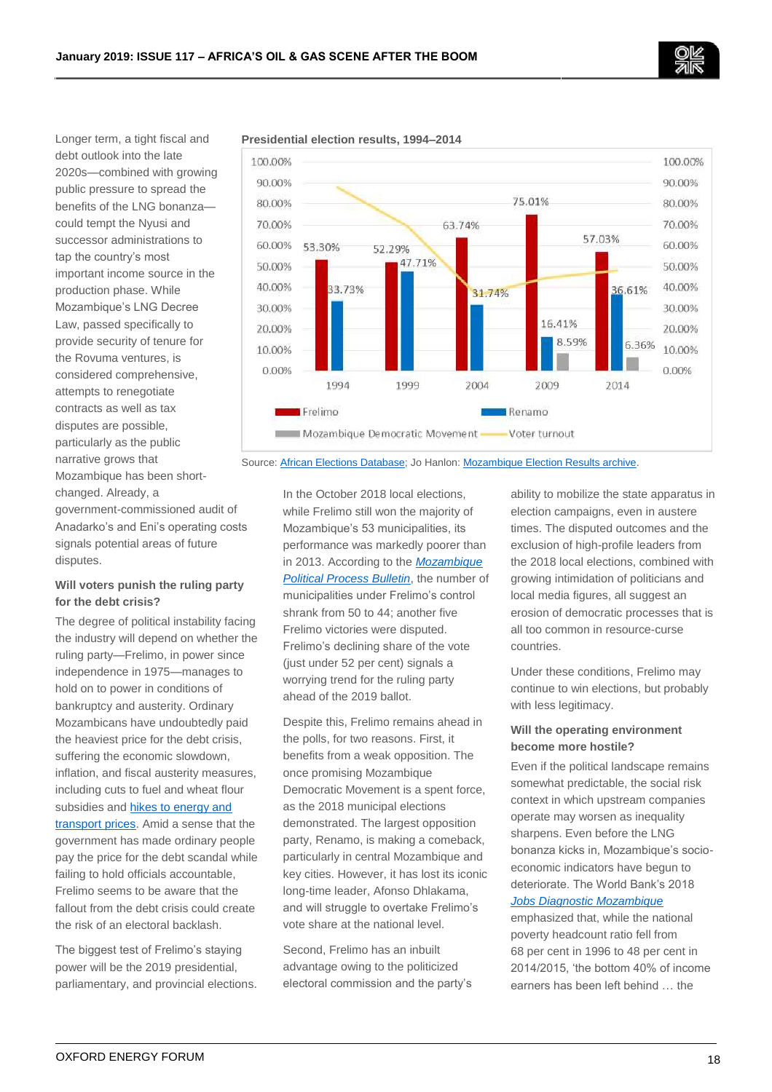

Longer term, a tight fiscal and debt outlook into the late 2020s—combined with growing public pressure to spread the benefits of the LNG bonanza could tempt the Nyusi and successor administrations to tap the country's most important income source in the production phase. While Mozambique's LNG Decree Law, passed specifically to provide security of tenure for the Rovuma ventures, is considered comprehensive, attempts to renegotiate contracts as well as tax disputes are possible, particularly as the public narrative grows that Mozambique has been shortchanged. Already, a government-commissioned audit of

Anadarko's and Eni's operating costs signals potential areas of future disputes.

## **Will voters punish the ruling party for the debt crisis?**

The degree of political instability facing the industry will depend on whether the ruling party—Frelimo, in power since independence in 1975—manages to hold on to power in conditions of bankruptcy and austerity. Ordinary Mozambicans have undoubtedly paid the heaviest price for the debt crisis, suffering the economic slowdown, inflation, and fiscal austerity measures, including cuts to fuel and wheat flour subsidies and [hikes to energy and](https://www.imf.org/en/News/Articles/2018/08/03/pr18329-imf-staff-concludes-visit-to-mozambique)  [transport prices.](https://www.imf.org/en/News/Articles/2018/08/03/pr18329-imf-staff-concludes-visit-to-mozambique) Amid a sense that the government has made ordinary people pay the price for the debt scandal while failing to hold officials accountable, Frelimo seems to be aware that the fallout from the debt crisis could create the risk of an electoral backlash.

The biggest test of Frelimo's staying power will be the 2019 presidential, parliamentary, and provincial elections.



**Presidential election results, 1994–2014**

Source: [African Elections Database;](http://africanelections.tripod.com/mz.html) Jo Hanlon: [Mozambique Election Results archive.](http://www.open.ac.uk/technology/mozambique/2018-local-election-bulletins-1)

In the October 2018 local elections, while Frelimo still won the majority of Mozambique's 53 municipalities, its performance was markedly poorer than in 2013. According to the *[Mozambique](http://www.open.ac.uk/technology/mozambique/sites/www.open.ac.uk.technology.mozambique/files/files/Local_Elections_68-16October2018.pdf)  [Political Process Bulletin](http://www.open.ac.uk/technology/mozambique/sites/www.open.ac.uk.technology.mozambique/files/files/Local_Elections_68-16October2018.pdf)*, the number of municipalities under Frelimo's control shrank from 50 to 44; another five Frelimo victories were disputed. Frelimo's declining share of the vote (just under 52 per cent) signals a worrying trend for the ruling party ahead of the 2019 ballot.

Despite this, Frelimo remains ahead in the polls, for two reasons. First, it benefits from a weak opposition. The once promising Mozambique Democratic Movement is a spent force, as the 2018 municipal elections demonstrated. The largest opposition party, Renamo, is making a comeback, particularly in central Mozambique and key cities. However, it has lost its iconic long-time leader, Afonso Dhlakama, and will struggle to overtake Frelimo's vote share at the national level.

Second, Frelimo has an inbuilt advantage owing to the politicized electoral commission and the party's ability to mobilize the state apparatus in election campaigns, even in austere times. The disputed outcomes and the exclusion of high-profile leaders from the 2018 local elections, combined with growing intimidation of politicians and local media figures, all suggest an erosion of democratic processes that is all too common in resource-curse countries.

Under these conditions, Frelimo may continue to win elections, but probably with less legitimacy.

## **Will the operating environment become more hostile?**

Even if the political landscape remains somewhat predictable, the social risk context in which upstream companies operate may worsen as inequality sharpens. Even before the LNG bonanza kicks in, Mozambique's socioeconomic indicators have begun to deteriorate. The World Bank's 2018

## *[Jobs Diagnostic Mozambique](http://documents.worldbank.org/curated/en/655951534181476346/Mozambique-jobs-diagnostic)*

emphasized that, while the national poverty headcount ratio fell from 68 per cent in 1996 to 48 per cent in 2014/2015, 'the bottom 40% of income earners has been left behind … the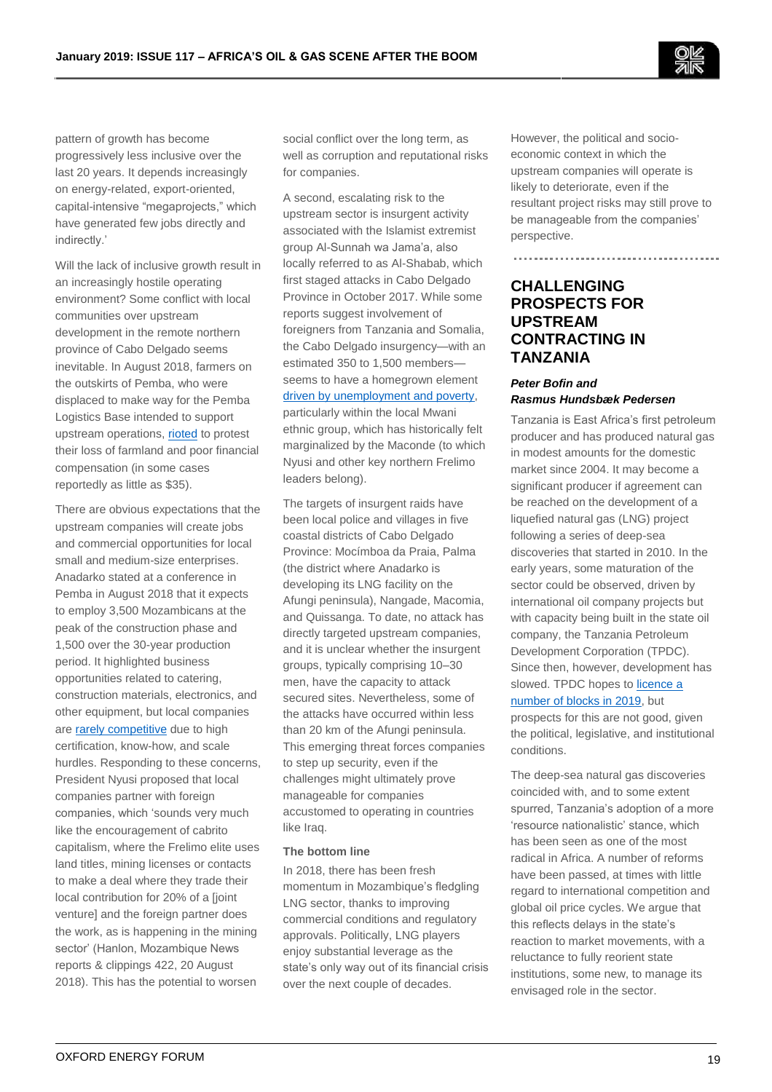

pattern of growth has become progressively less inclusive over the last 20 years. It depends increasingly on energy-related, export-oriented, capital-intensive "megaprojects," which have generated few jobs directly and indirectly.'

Will the lack of inclusive growth result in an increasingly hostile operating environment? Some conflict with local communities over upstream development in the remote northern province of Cabo Delgado seems inevitable. In August 2018, farmers on the outskirts of Pemba, who were displaced to make way for the Pemba Logistics Base intended to support upstream operations[, rioted](https://allafrica.com/stories/201808270482.html) to protest their loss of farmland and poor financial compensation (in some cases reportedly as little as \$35).

There are obvious expectations that the upstream companies will create jobs and commercial opportunities for local small and medium-size enterprises. Anadarko stated at a conference in Pemba in August 2018 that it expects to employ 3,500 Mozambicans at the peak of the construction phase and 1,500 over the 30-year production period. It highlighted business opportunities related to catering, construction materials, electronics, and other equipment, but local companies are [rarely competitive](http://www.open.ac.uk/technology/mozambique/news-reports-2018-1) due to high certification, know-how, and scale hurdles. Responding to these concerns, President Nyusi proposed that local companies partner with foreign companies, which 'sounds very much like the encouragement of cabrito capitalism, where the Frelimo elite uses land titles, mining licenses or contacts to make a deal where they trade their local contribution for 20% of a [joint venture] and the foreign partner does the work, as is happening in the mining sector' (Hanlon, Mozambique News reports & clippings 422, 20 August 2018). This has the potential to worsen

social conflict over the long term, as well as corruption and reputational risks for companies.

A second, escalating risk to the upstream sector is insurgent activity associated with the Islamist extremist group Al-Sunnah wa Jama'a, also locally referred to as Al-Shabab, which first staged attacks in Cabo Delgado Province in October 2017. While some reports suggest involvement of foreigners from Tanzania and Somalia, the Cabo Delgado insurgency—with an estimated 350 to 1,500 members seems to have a homegrown element [driven by unemployment and poverty,](https://clubofmozambique.com/news/poverty-and-unemployment-fuels-cabo-delgado-insurgency-admits-nyusi-by-joseph-hanlon/) particularly within the local Mwani ethnic group, which has historically felt

marginalized by the Maconde (to which Nyusi and other key northern Frelimo leaders belong).

The targets of insurgent raids have been local police and villages in five coastal districts of Cabo Delgado Province: Mocímboa da Praia, Palma (the district where Anadarko is developing its LNG facility on the Afungi peninsula), Nangade, Macomia, and Quissanga. To date, no attack has directly targeted upstream companies, and it is unclear whether the insurgent groups, typically comprising 10–30 men, have the capacity to attack secured sites. Nevertheless, some of the attacks have occurred within less than 20 km of the Afungi peninsula. This emerging threat forces companies to step up security, even if the challenges might ultimately prove manageable for companies accustomed to operating in countries like Iraq.

#### **The bottom line**

In 2018, there has been fresh momentum in Mozambique's fledgling LNG sector, thanks to improving commercial conditions and regulatory approvals. Politically, LNG players enjoy substantial leverage as the state's only way out of its financial crisis over the next couple of decades.

However, the political and socioeconomic context in which the upstream companies will operate is likely to deteriorate, even if the resultant project risks may still prove to be manageable from the companies' perspective.

# **CHALLENGING PROSPECTS FOR UPSTREAM CONTRACTING IN TANZANIA**

## *Peter Bofin and Rasmus Hundsbæk Pedersen*

Tanzania is East Africa's first petroleum producer and has produced natural gas in modest amounts for the domestic market since 2004. It may become a significant producer if agreement can be reached on the development of a liquefied natural gas (LNG) project following a series of deep-sea discoveries that started in 2010. In the early years, some maturation of the sector could be observed, driven by international oil company projects but with capacity being built in the state oil company, the Tanzania Petroleum Development Corporation (TPDC). Since then, however, development has slowed. TPDC hopes t[o licence a](https://www.ippmedia.com/en/business/tpdc-float-tender-oil-and-gas-exploration-blocks-q2-2019)  [number of blocks in 2019,](https://www.ippmedia.com/en/business/tpdc-float-tender-oil-and-gas-exploration-blocks-q2-2019) but

prospects for this are not good, given the political, legislative, and institutional conditions.

The deep-sea natural gas discoveries coincided with, and to some extent spurred, Tanzania's adoption of a more 'resource nationalistic' stance, which has been seen as one of the most radical in Africa. A number of reforms have been passed, at times with little regard to international competition and global oil price cycles. We argue that this reflects delays in the state's reaction to market movements, with a reluctance to fully reorient state institutions, some new, to manage its envisaged role in the sector.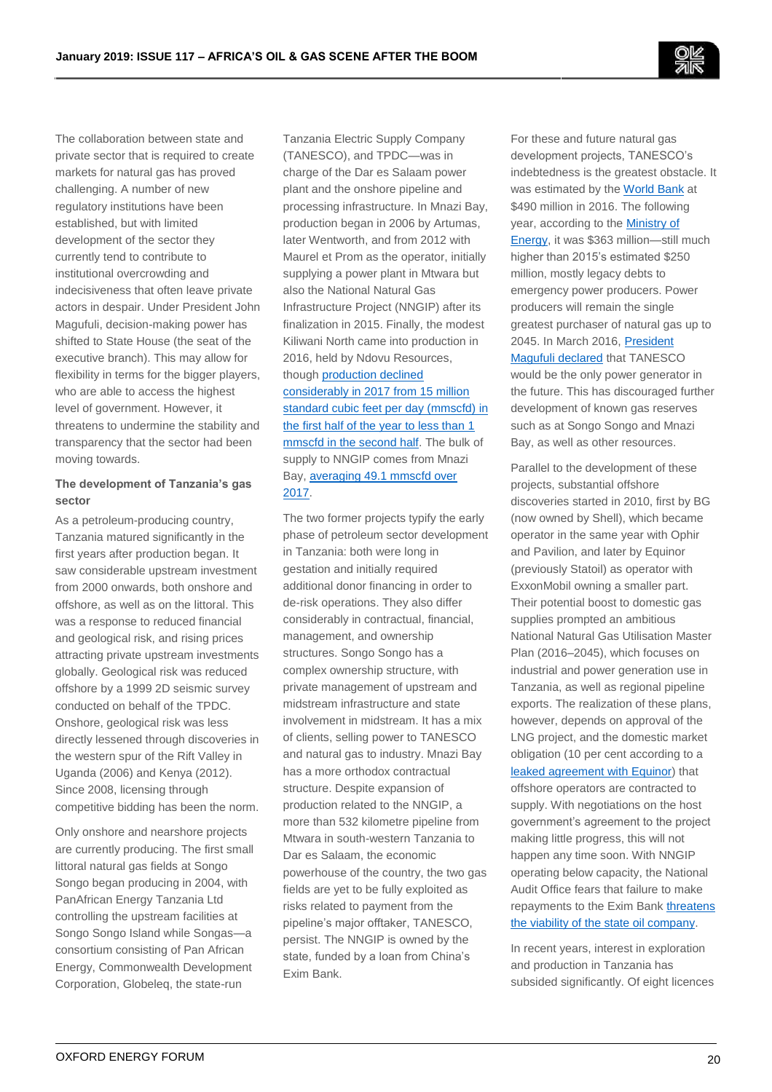The collaboration between state and private sector that is required to create markets for natural gas has proved challenging. A number of new regulatory institutions have been established, but with limited development of the sector they currently tend to contribute to institutional overcrowding and indecisiveness that often leave private actors in despair. Under President John Magufuli, decision-making power has shifted to State House (the seat of the executive branch). This may allow for flexibility in terms for the bigger players, who are able to access the highest level of government. However, it threatens to undermine the stability and transparency that the sector had been moving towards.

## **The development of Tanzania's gas sector**

As a petroleum-producing country, Tanzania matured significantly in the first years after production began. It saw considerable upstream investment from 2000 onwards, both onshore and offshore, as well as on the littoral. This was a response to reduced financial and geological risk, and rising prices attracting private upstream investments globally. Geological risk was reduced offshore by a 1999 2D seismic survey conducted on behalf of the TPDC. Onshore, geological risk was less directly lessened through discoveries in the western spur of the Rift Valley in Uganda (2006) and Kenya (2012). Since 2008, licensing through competitive bidding has been the norm.

Only onshore and nearshore projects are currently producing. The first small littoral natural gas fields at Songo Songo began producing in 2004, with PanAfrican Energy Tanzania Ltd controlling the upstream facilities at Songo Songo Island while Songas—a consortium consisting of Pan African Energy, Commonwealth Development Corporation, Globeleq, the state-run

Tanzania Electric Supply Company (TANESCO), and TPDC—was in charge of the Dar es Salaam power plant and the onshore pipeline and processing infrastructure. In Mnazi Bay, production began in 2006 by Artumas, later Wentworth, and from 2012 with Maurel et Prom as the operator, initially supplying a power plant in Mtwara but also the National Natural Gas Infrastructure Project (NNGIP) after its finalization in 2015. Finally, the modest Kiliwani North came into production in 2016, held by Ndovu Resources, though [production declined](http://admin.aminex-plc.com/uploadfiles/Aminex%20PLC%20Annual%20Report%202017.pdf)  [considerably in 2017 from 15 million](http://admin.aminex-plc.com/uploadfiles/Aminex%20PLC%20Annual%20Report%202017.pdf)  [standard cubic feet per day \(mmscfd\) in](http://admin.aminex-plc.com/uploadfiles/Aminex%20PLC%20Annual%20Report%202017.pdf)  [the first half of the year to less than 1](http://admin.aminex-plc.com/uploadfiles/Aminex%20PLC%20Annual%20Report%202017.pdf)  [mmscfd in the second half.](http://admin.aminex-plc.com/uploadfiles/Aminex%20PLC%20Annual%20Report%202017.pdf) The bulk of supply to NNGIP comes from Mnazi Bay[, averaging 49.1 mmscfd over](https://wentworthresources.com/pdf/2017-Audited-Financial-Statements.pdf)  [2017.](https://wentworthresources.com/pdf/2017-Audited-Financial-Statements.pdf)

The two former projects typify the early phase of petroleum sector development in Tanzania: both were long in gestation and initially required additional donor financing in order to de-risk operations. They also differ considerably in contractual, financial, management, and ownership structures. Songo Songo has a complex ownership structure, with private management of upstream and midstream infrastructure and state involvement in midstream. It has a mix of clients, selling power to TANESCO and natural gas to industry. Mnazi Bay has a more orthodox contractual structure. Despite expansion of production related to the NNGIP, a more than 532 kilometre pipeline from Mtwara in south-western Tanzania to Dar es Salaam, the economic powerhouse of the country, the two gas fields are yet to be fully exploited as risks related to payment from the pipeline's major offtaker, TANESCO, persist. The NNGIP is owned by the state, funded by a loan from China's Exim Bank.

For these and future natural gas development projects, TANESCO's indebtedness is the greatest obstacle. It was estimated by th[e World Bank](http://documents.worldbank.org/curated/pt/899361481773400632/111019-PGID-P151136-Concept-Box396338B-PUBLIC-Disclosed-12-14-2016.docx) at \$490 million in 2016. The following year, according to th[e Ministry of](https://www.reuters.com/article/tanzania-power-idUSL4N1F63OC)  [Energy,](https://www.reuters.com/article/tanzania-power-idUSL4N1F63OC) it was \$363 million—still much higher than 2015's estimated \$250 million, mostly legacy debts to emergency power producers. Power producers will remain the single greatest purchaser of natural gas up to 2045. In March 2016, [President](https://www.ippmedia.com/en/news/magufuli-orders-ban-any-more-dubious-power-deals)  [Magufuli declared](https://www.ippmedia.com/en/news/magufuli-orders-ban-any-more-dubious-power-deals) that TANESCO would be the only power generator in the future. This has discouraged further development of known gas reserves such as at Songo Songo and Mnazi Bay, as well as other resources.

Parallel to the development of these projects, substantial offshore discoveries started in 2010, first by BG (now owned by Shell), which became operator in the same year with Ophir and Pavilion, and later by Equinor (previously Statoil) as operator with ExxonMobil owning a smaller part. Their potential boost to domestic gas supplies prompted an ambitious National Natural Gas Utilisation Master Plan (2016–2045), which focuses on industrial and power generation use in Tanzania, as well as regional pipeline exports. The realization of these plans, however, depends on approval of the LNG project, and the domestic market obligation (10 per cent according to a [leaked agreement with](https://onedrive.live.com/view.aspx?cid=0EC42B180C06D0B8&resid=EC42B180C06D0B8%21107&app=WordPdf) Equinor) that offshore operators are contracted to supply. With negotiations on the host government's agreement to the project making little progress, this will not happen any time soon. With NNGIP operating below capacity, the National Audit Office fears that failure to make repayments to the Exim Ban[k threatens](http://www.nao.go.tz/?wpfb_dl=253)  [the viability of the state oil company.](http://www.nao.go.tz/?wpfb_dl=253)

In recent years, interest in exploration and production in Tanzania has subsided significantly. Of eight licences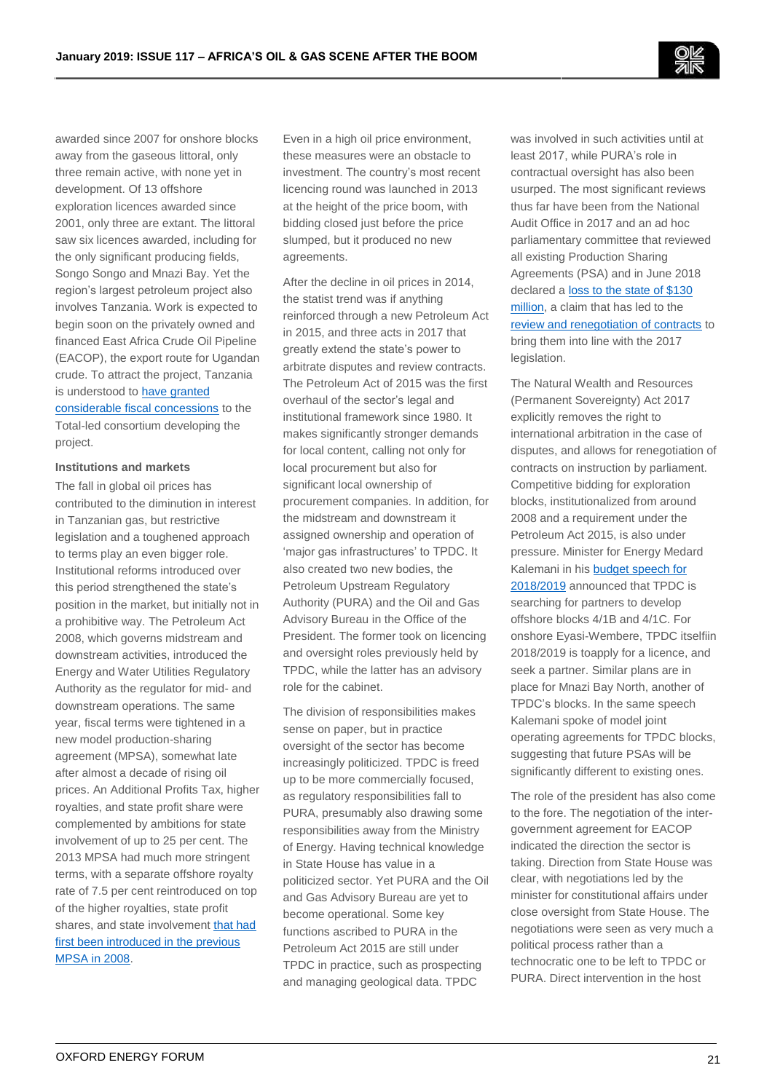awarded since 2007 for onshore blocks away from the gaseous littoral, only three remain active, with none yet in development. Of 13 offshore exploration licences awarded since 2001, only three are extant. The littoral saw six licences awarded, including for the only significant producing fields, Songo Songo and Mnazi Bay. Yet the region's largest petroleum project also involves Tanzania. Work is expected to begin soon on the privately owned and financed East Africa Crude Oil Pipeline (EACOP), the export route for Ugandan crude. To attract the project, Tanzania is understood to **have granted** [considerable fiscal concessions](http://eacop.com/presidents-museveni-magufuli-lay-foundation-stone-for-crude-oil-pipeline-construction/) to the Total-led consortium developing the project.

#### **Institutions and markets**

The fall in global oil prices has contributed to the diminution in interest in Tanzanian gas, but restrictive legislation and a toughened approach to terms play an even bigger role. Institutional reforms introduced over this period strengthened the state's position in the market, but initially not in a prohibitive way. The Petroleum Act 2008, which governs midstream and downstream activities, introduced the Energy and Water Utilities Regulatory Authority as the regulator for mid- and downstream operations. The same year, fiscal terms were tightened in a new model production-sharing agreement (MPSA), somewhat late after almost a decade of rising oil prices. An Additional Profits Tax, higher royalties, and state profit share were complemented by ambitions for state involvement of up to 25 per cent. The 2013 MPSA had much more stringent terms, with a separate offshore royalty rate of 7.5 per cent reintroduced on top of the higher royalties, state profit shares, and state involvemen[t that had](https://www.diis.dk/en/research/regulatory-capacity-has-increased-in-tanzanias-oil-and-gas-sector)  [first been introduced in the previous](https://www.diis.dk/en/research/regulatory-capacity-has-increased-in-tanzanias-oil-and-gas-sector)  [MPSA in 2008.](https://www.diis.dk/en/research/regulatory-capacity-has-increased-in-tanzanias-oil-and-gas-sector)

Even in a high oil price environment, these measures were an obstacle to investment. The country's most recent licencing round was launched in 2013 at the height of the price boom, with bidding closed just before the price slumped, but it produced no new agreements.

After the decline in oil prices in 2014, the statist trend was if anything reinforced through a new Petroleum Act in 2015, and three acts in 2017 that greatly extend the state's power to arbitrate disputes and review contracts. The Petroleum Act of 2015 was the first overhaul of the sector's legal and institutional framework since 1980. It makes significantly stronger demands for local content, calling not only for local procurement but also for significant local ownership of procurement companies. In addition, for the midstream and downstream it assigned ownership and operation of 'major gas infrastructures' to TPDC. It also created two new bodies, the Petroleum Upstream Regulatory Authority (PURA) and the Oil and Gas Advisory Bureau in the Office of the President. The former took on licencing and oversight roles previously held by TPDC, while the latter has an advisory role for the cabinet.

The division of responsibilities makes sense on paper, but in practice oversight of the sector has become increasingly politicized. TPDC is freed up to be more commercially focused, as regulatory responsibilities fall to PURA, presumably also drawing some responsibilities away from the Ministry of Energy. Having technical knowledge in State House has value in a politicized sector. Yet PURA and the Oil and Gas Advisory Bureau are yet to become operational. Some key functions ascribed to PURA in the Petroleum Act 2015 are still under TPDC in practice, such as prospecting and managing geological data. TPDC

was involved in such activities until at least 2017, while PURA's role in contractual oversight has also been usurped. The most significant reviews thus far have been from the National Audit Office in 2017 and an ad hoc parliamentary committee that reviewed all existing Production Sharing Agreements (PSA) and in June 2018 declared a loss to the state of \$130 [million,](http://mobile.mwananchi.co.tz/Habari/Ripoti-ya-Bunge-yawaweka-mtegoni-mawaziri/1597580-4593082-format-xhtml-wq2h1d/index.html) a claim that has led to the [review and renegotiation of contracts](https://www.velmalaw.co.tz/parliamentary-select-committee-has-reviewed-production-sharing-agreements-psas/) to bring them into line with the 2017 legislation.

The Natural Wealth and Resources (Permanent Sovereignty) Act 2017 explicitly removes the right to international arbitration in the case of disputes, and allows for renegotiation of contracts on instruction by parliament. Competitive bidding for exploration blocks, institutionalized from around 2008 and a requirement under the Petroleum Act 2015, is also under pressure. Minister for Energy Medard Kalemani in his [budget speech for](https://www.nishati.go.tz/wp-content/uploads/2018/05/Hotuba-ya-Bajeti-ya-Wizara-ya-Nishati-kwa-mwaka-2018-2019.pdf)  [2018/2019](https://www.nishati.go.tz/wp-content/uploads/2018/05/Hotuba-ya-Bajeti-ya-Wizara-ya-Nishati-kwa-mwaka-2018-2019.pdf) announced that TPDC is searching for partners to develop offshore blocks 4/1B and 4/1C. For onshore Eyasi-Wembere, TPDC itselfiin 2018/2019 is toapply for a licence, and seek a partner. Similar plans are in place for Mnazi Bay North, another of TPDC's blocks. In the same speech Kalemani spoke of model joint operating agreements for TPDC blocks, suggesting that future PSAs will be significantly different to existing ones.

The role of the president has also come to the fore. The negotiation of the intergovernment agreement for EACOP indicated the direction the sector is taking. Direction from State House was clear, with negotiations led by the minister for constitutional affairs under close oversight from State House. The negotiations were seen as very much a political process rather than a technocratic one to be left to TPDC or PURA. Direct intervention in the host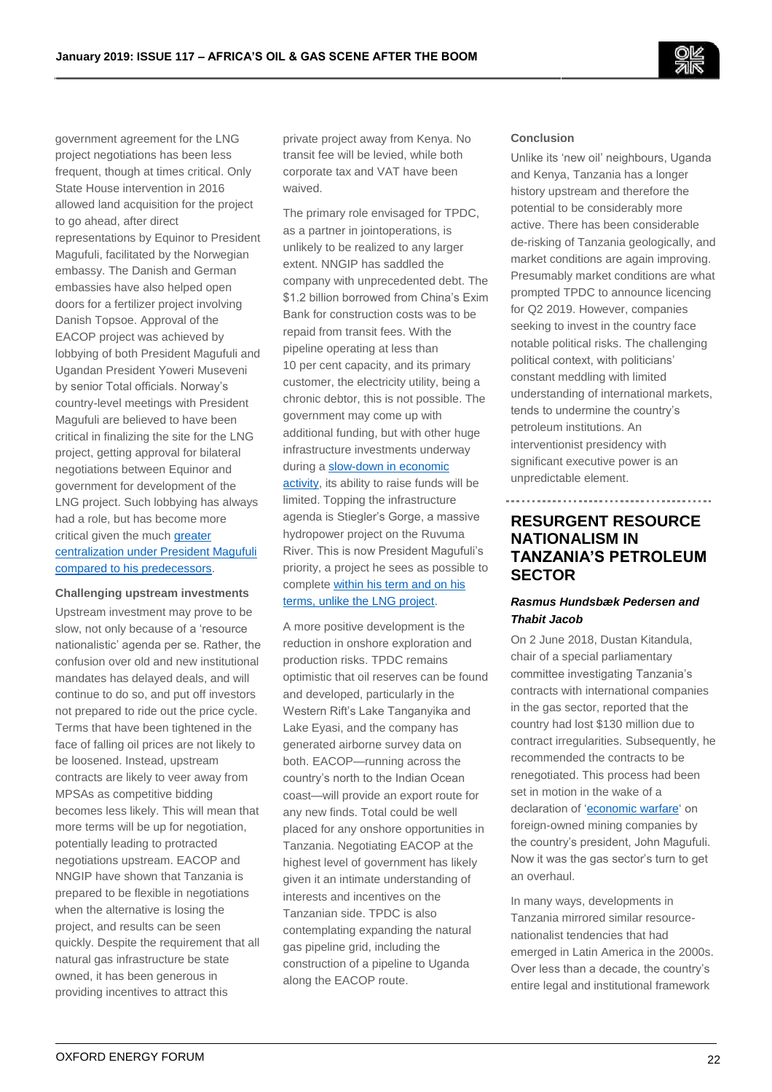

government agreement for the LNG project negotiations has been less frequent, though at times critical. Only State House intervention in 2016 allowed land acquisition for the project to go ahead, after direct representations by Equinor to President Magufuli, facilitated by the Norwegian embassy. The Danish and German embassies have also helped open doors for a fertilizer project involving Danish Topsoe. Approval of the EACOP project was achieved by lobbying of both President Magufuli and Ugandan President Yoweri Museveni by senior Total officials. Norway's country-level meetings with President Magufuli are believed to have been critical in finalizing the site for the LNG project, getting approval for bilateral negotiations between Equinor and government for development of the LNG project. Such lobbying has always had a role, but has become more critical given the much greater [centralization under President Magufuli](https://www.diis.dk/en/research/resource-nationalism-on-the-rise-in-tanzania-president-magufuli)  [compared to his predecessors.](https://www.diis.dk/en/research/resource-nationalism-on-the-rise-in-tanzania-president-magufuli)

#### **Challenging upstream investments**

Upstream investment may prove to be slow, not only because of a 'resource nationalistic' agenda per se. Rather, the confusion over old and new institutional mandates has delayed deals, and will continue to do so, and put off investors not prepared to ride out the price cycle. Terms that have been tightened in the face of falling oil prices are not likely to be loosened. Instead, upstream contracts are likely to veer away from MPSAs as competitive bidding becomes less likely. This will mean that more terms will be up for negotiation, potentially leading to protracted negotiations upstream. EACOP and NNGIP have shown that Tanzania is prepared to be flexible in negotiations when the alternative is losing the project, and results can be seen quickly. Despite the requirement that all natural gas infrastructure be state owned, it has been generous in providing incentives to attract this

private project away from Kenya. No transit fee will be levied, while both corporate tax and VAT have been waived.

The primary role envisaged for TPDC, as a partner in jointoperations, is unlikely to be realized to any larger extent. NNGIP has saddled the company with unprecedented debt. The \$1.2 billion borrowed from China's Exim Bank for construction costs was to be repaid from transit fees. With the pipeline operating at less than 10 per cent capacity, and its primary customer, the electricity utility, being a chronic debtor, this is not possible. The government may come up with additional funding, but with other huge infrastructure investments underway during a [slow-down in economic](https://www.imf.org/en/Publications/CR/Issues/2018/01/16/Republic-of-Tanzania-Seventh-Review-Under-the-Policy-Support-Instrument-Press-Release-Staff-45565)  [activity,](https://www.imf.org/en/Publications/CR/Issues/2018/01/16/Republic-of-Tanzania-Seventh-Review-Under-the-Policy-Support-Instrument-Press-Release-Staff-45565) its ability to raise funds will be limited. Topping the infrastructure agenda is Stiegler's Gorge, a massive hydropower project on the Ruvuma River. This is now President Magufuli's priority, a project he sees as possible to complete [within his term and on his](http://www.theeastafrican.co.ke/business/Magufuli-on-warpath-with-oil-companies/2560-4750068-9qxqcjz/index.html)  [terms, unlike the LNG project.](http://www.theeastafrican.co.ke/business/Magufuli-on-warpath-with-oil-companies/2560-4750068-9qxqcjz/index.html)

A more positive development is the reduction in onshore exploration and production risks. TPDC remains optimistic that oil reserves can be found and developed, particularly in the Western Rift's Lake Tanganyika and Lake Eyasi, and the company has generated airborne survey data on both. EACOP—running across the country's north to the Indian Ocean coast—will provide an export route for any new finds. Total could be well placed for any onshore opportunities in Tanzania. Negotiating EACOP at the highest level of government has likely given it an intimate understanding of interests and incentives on the Tanzanian side. TPDC is also contemplating expanding the natural gas pipeline grid, including the construction of a pipeline to Uganda along the EACOP route.

#### **Conclusion**

Unlike its 'new oil' neighbours, Uganda and Kenya, Tanzania has a longer history upstream and therefore the potential to be considerably more active. There has been considerable de-risking of Tanzania geologically, and market conditions are again improving. Presumably market conditions are what prompted TPDC to announce licencing for Q2 2019. However, companies seeking to invest in the country face notable political risks. The challenging political context, with politicians' constant meddling with limited understanding of international markets, tends to undermine the country's petroleum institutions. An interventionist presidency with significant executive power is an unpredictable element.

# **RESURGENT RESOURCE NATIONALISM IN TANZANIA'S PETROLEUM SECTOR**

## *Rasmus Hundsbæk Pedersen and Thabit Jacob*

On 2 June 2018, Dustan Kitandula, chair of a special parliamentary committee investigating Tanzania's contracts with international companies in the gas sector, reported that the country had lost \$130 million due to contract irregularities. Subsequently, he recommended the contracts to be renegotiated. This process had been set in motion in the wake of a declaration of ['economic warfare'](https://www.sciencedirect.com/science/article/pii/S2214790X18300029) on foreign-owned mining companies by the country's president, John Magufuli. Now it was the gas sector's turn to get an overhaul.

In many ways, developments in Tanzania mirrored similar resourcenationalist tendencies that had emerged in Latin America in the 2000s. Over less than a decade, the country's entire legal and institutional framework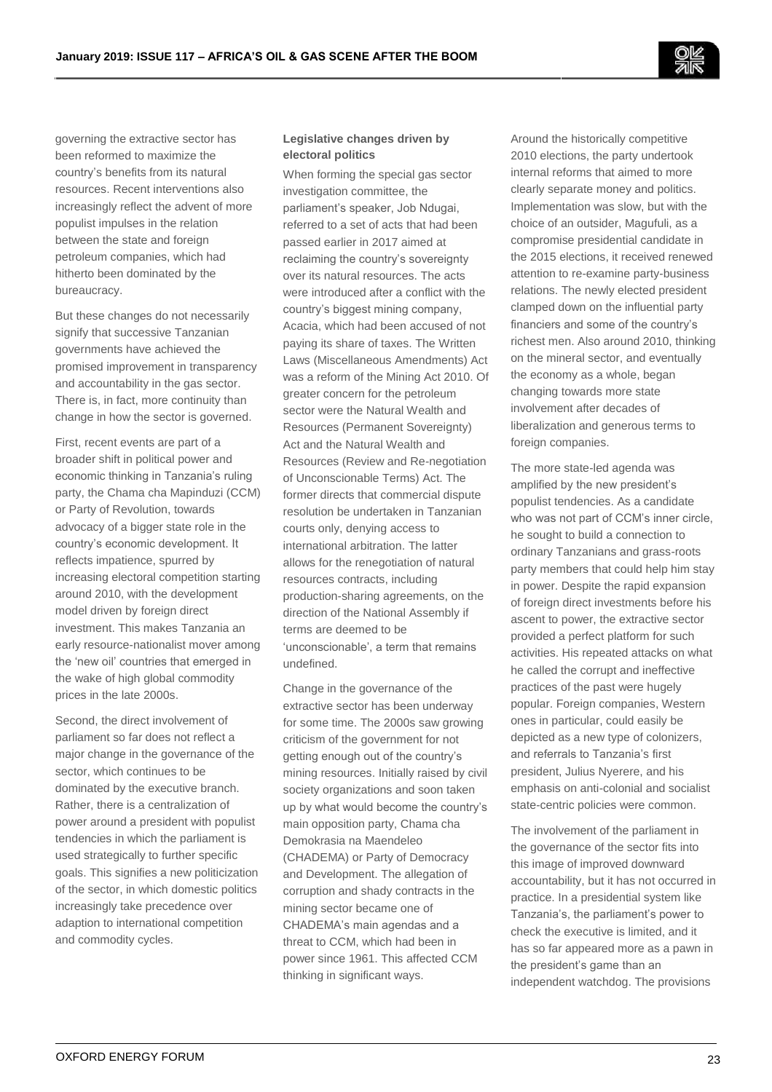governing the extractive sector has been reformed to maximize the country's benefits from its natural resources. Recent interventions also increasingly reflect the advent of more populist impulses in the relation between the state and foreign petroleum companies, which had hitherto been dominated by the bureaucracy.

But these changes do not necessarily signify that successive Tanzanian governments have achieved the promised improvement in transparency and accountability in the gas sector. There is, in fact, more continuity than change in how the sector is governed.

First, recent events are part of a broader shift in political power and economic thinking in Tanzania's ruling party, the Chama cha Mapinduzi (CCM) or Party of Revolution, towards advocacy of a bigger state role in the country's economic development. It reflects impatience, spurred by increasing electoral competition starting around 2010, with the development model driven by foreign direct investment. This makes Tanzania an early resource-nationalist mover among the 'new oil' countries that emerged in the wake of high global commodity prices in the late 2000s.

Second, the direct involvement of parliament so far does not reflect a major change in the governance of the sector, which continues to be dominated by the executive branch. Rather, there is a centralization of power around a president with populist tendencies in which the parliament is used strategically to further specific goals. This signifies a new politicization of the sector, in which domestic politics increasingly take precedence over adaption to international competition and commodity cycles.

## **Legislative changes driven by electoral politics**

When forming the special gas sector investigation committee, the parliament's speaker, Job Ndugai, referred to a set of acts that had been passed earlier in 2017 aimed at reclaiming the country's sovereignty over its natural resources. The acts were introduced after a conflict with the country's biggest mining company, Acacia, which had been accused of not paying its share of taxes. The Written Laws (Miscellaneous Amendments) Act was a reform of the Mining Act 2010. Of greater concern for the petroleum sector were the Natural Wealth and Resources (Permanent Sovereignty) Act and the Natural Wealth and Resources (Review and Re-negotiation of Unconscionable Terms) Act. The former directs that commercial dispute resolution be undertaken in Tanzanian courts only, denying access to international arbitration. The latter allows for the renegotiation of natural resources contracts, including production-sharing agreements, on the direction of the National Assembly if terms are deemed to be 'unconscionable', a term that remains undefined.

Change in the governance of the extractive sector has been underway for some time. The 2000s saw growing criticism of the government for not getting enough out of the country's mining resources. Initially raised by civil society organizations and soon taken up by what would become the country's main opposition party, Chama cha Demokrasia na Maendeleo (CHADEMA) or Party of Democracy and Development. The allegation of corruption and shady contracts in the mining sector became one of CHADEMA's main agendas and a threat to CCM, which had been in power since 1961. This affected CCM thinking in significant ways.

Around the historically competitive 2010 elections, the party undertook internal reforms that aimed to more clearly separate money and politics. Implementation was slow, but with the choice of an outsider, Magufuli, as a compromise presidential candidate in the 2015 elections, it received renewed attention to re-examine party-business relations. The newly elected president clamped down on the influential party financiers and some of the country's richest men. Also around 2010, thinking on the mineral sector, and eventually the economy as a whole, began changing towards more state involvement after decades of liberalization and generous terms to foreign companies.

The more state-led agenda was amplified by the new president's populist tendencies. As a candidate who was not part of CCM's inner circle, he sought to build a connection to ordinary Tanzanians and grass-roots party members that could help him stay in power. Despite the rapid expansion of foreign direct investments before his ascent to power, the extractive sector provided a perfect platform for such activities. His repeated attacks on what he called the corrupt and ineffective practices of the past were hugely popular. Foreign companies, Western ones in particular, could easily be depicted as a new type of colonizers, and referrals to Tanzania's first president, Julius Nyerere, and his emphasis on anti-colonial and socialist state-centric policies were common.

The involvement of the parliament in the governance of the sector fits into this image of improved downward accountability, but it has not occurred in practice. In a presidential system like Tanzania's, the parliament's power to check the executive is limited, and it has so far appeared more as a pawn in the president's game than an independent watchdog. The provisions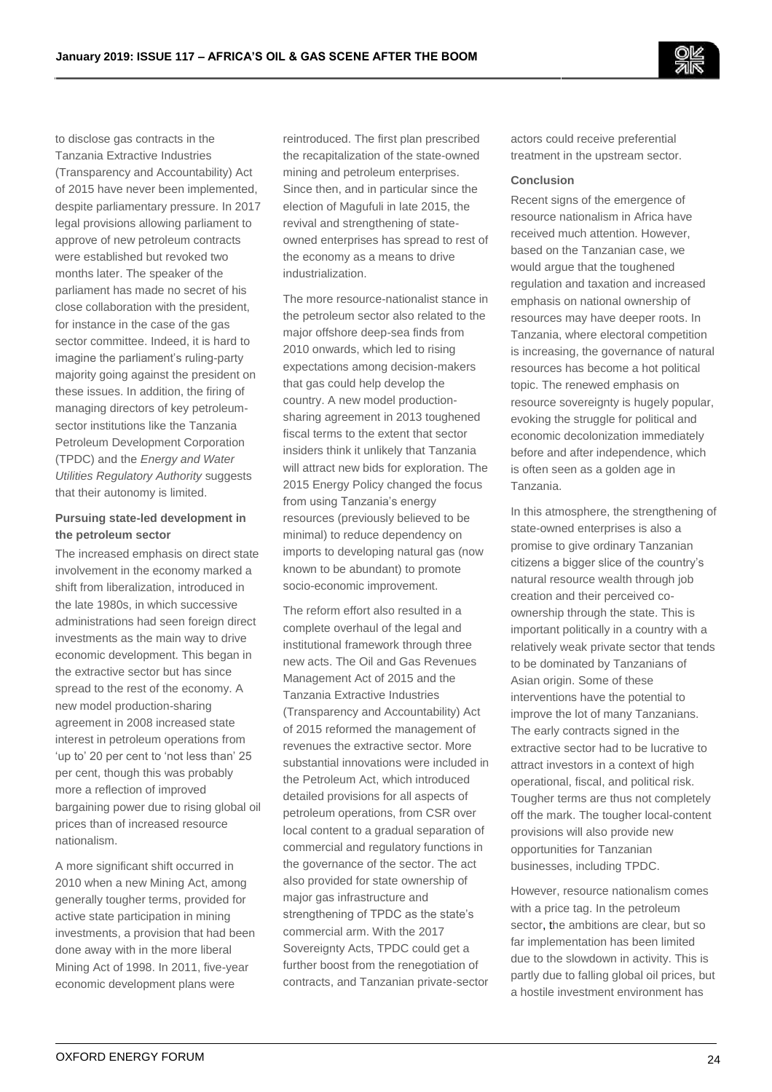

to disclose gas contracts in the Tanzania Extractive Industries (Transparency and Accountability) Act of 2015 have never been implemented, despite parliamentary pressure. In 2017 legal provisions allowing parliament to approve of new petroleum contracts were established but revoked two months later. The speaker of the parliament has made no secret of his close collaboration with the president, for instance in the case of the gas sector committee. Indeed, it is hard to imagine the parliament's ruling-party majority going against the president on these issues. In addition, the firing of managing directors of key petroleumsector institutions like the Tanzania Petroleum Development Corporation (TPDC) and the *Energy and Water Utilities Regulatory Authority* suggests that their autonomy is limited.

## **Pursuing state-led development in the petroleum sector**

The increased emphasis on direct state involvement in the economy marked a shift from liberalization, introduced in the late 1980s, in which successive administrations had seen foreign direct investments as the main way to drive economic development. This began in the extractive sector but has since spread to the rest of the economy. A new model production-sharing agreement in 2008 increased state interest in petroleum operations from 'up to' 20 per cent to 'not less than' 25 per cent, though this was probably more a reflection of improved bargaining power due to rising global oil prices than of increased resource nationalism.

A more significant shift occurred in 2010 when a new Mining Act, among generally tougher terms, provided for active state participation in mining investments, a provision that had been done away with in the more liberal Mining Act of 1998. In 2011, five-year economic development plans were

reintroduced. The first plan prescribed the recapitalization of the state-owned mining and petroleum enterprises. Since then, and in particular since the election of Magufuli in late 2015, the revival and strengthening of stateowned enterprises has spread to rest of the economy as a means to drive industrialization.

The more resource-nationalist stance in the petroleum sector also related to the major offshore deep-sea finds from 2010 onwards, which led to rising expectations among decision-makers that gas could help develop the country. A new model productionsharing agreement in 2013 toughened fiscal terms to the extent that sector insiders think it unlikely that Tanzania will attract new bids for exploration. The 2015 Energy Policy changed the focus from using Tanzania's energy resources (previously believed to be minimal) to reduce dependency on imports to developing natural gas (now known to be abundant) to promote socio-economic improvement.

The reform effort also resulted in a complete overhaul of the legal and institutional framework through three new acts. The Oil and Gas Revenues Management Act of 2015 and the Tanzania Extractive Industries (Transparency and Accountability) Act of 2015 reformed the management of revenues the extractive sector. More substantial innovations were included in the Petroleum Act, which introduced detailed provisions for all aspects of petroleum operations, from CSR over local content to a gradual separation of commercial and regulatory functions in the governance of the sector. The act also provided for state ownership of major gas infrastructure and strengthening of TPDC as the state's commercial arm. With the 2017 Sovereignty Acts, TPDC could get a further boost from the renegotiation of contracts, and Tanzanian private-sector

actors could receive preferential treatment in the upstream sector.

#### **Conclusion**

Recent signs of the emergence of resource nationalism in Africa have received much attention. However, based on the Tanzanian case, we would argue that the toughened regulation and taxation and increased emphasis on national ownership of resources may have deeper roots. In Tanzania, where electoral competition is increasing, the governance of natural resources has become a hot political topic. The renewed emphasis on resource sovereignty is hugely popular, evoking the struggle for political and economic decolonization immediately before and after independence, which is often seen as a golden age in Tanzania.

In this atmosphere, the strengthening of state-owned enterprises is also a promise to give ordinary Tanzanian citizens a bigger slice of the country's natural resource wealth through job creation and their perceived coownership through the state. This is important politically in a country with a relatively weak private sector that tends to be dominated by Tanzanians of Asian origin. Some of these interventions have the potential to improve the lot of many Tanzanians. The early contracts signed in the extractive sector had to be lucrative to attract investors in a context of high operational, fiscal, and political risk. Tougher terms are thus not completely off the mark. The tougher local-content provisions will also provide new opportunities for Tanzanian businesses, including TPDC.

However, resource nationalism comes with a price tag. In the petroleum sector, the ambitions are clear, but so far implementation has been limited due to the slowdown in activity. This is partly due to falling global oil prices, but a hostile investment environment has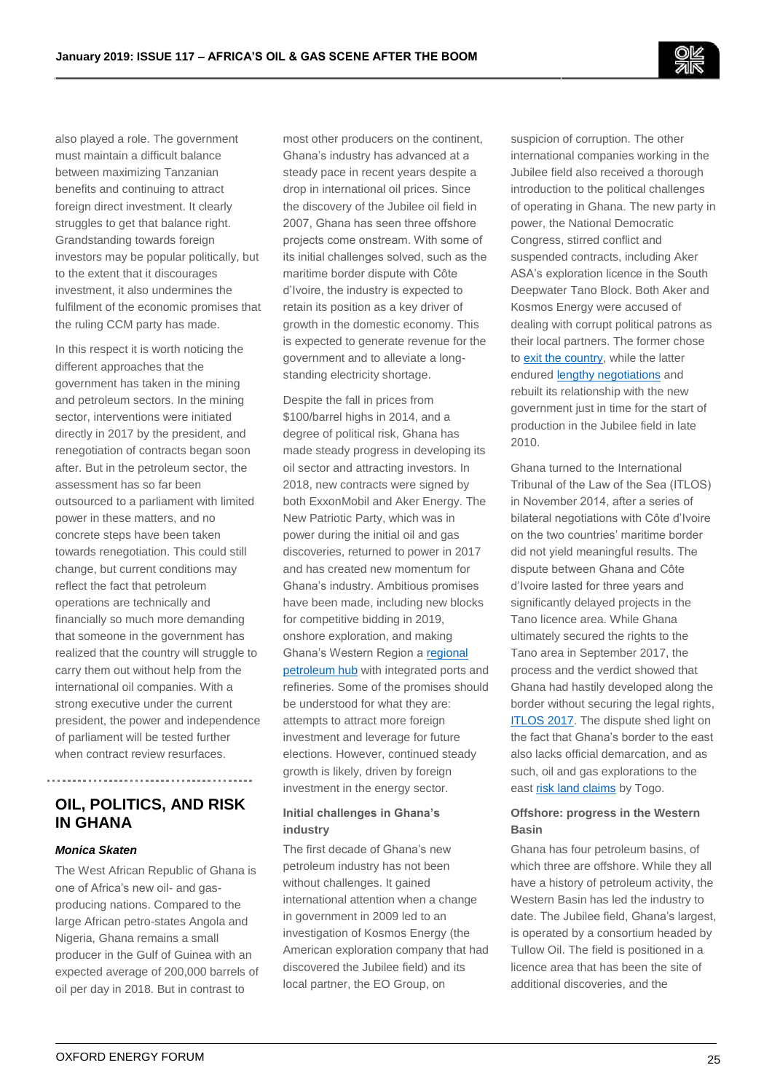also played a role. The government must maintain a difficult balance between maximizing Tanzanian benefits and continuing to attract foreign direct investment. It clearly struggles to get that balance right. Grandstanding towards foreign investors may be popular politically, but to the extent that it discourages investment, it also undermines the fulfilment of the economic promises that the ruling CCM party has made.

In this respect it is worth noticing the different approaches that the government has taken in the mining and petroleum sectors. In the mining sector, interventions were initiated directly in 2017 by the president, and renegotiation of contracts began soon after. But in the petroleum sector, the assessment has so far been outsourced to a parliament with limited power in these matters, and no concrete steps have been taken towards renegotiation. This could still change, but current conditions may reflect the fact that petroleum operations are technically and financially so much more demanding that someone in the government has realized that the country will struggle to carry them out without help from the international oil companies. With a strong executive under the current president, the power and independence of parliament will be tested further when contract review resurfaces.

# **OIL, POLITICS, AND RISK IN GHANA**

### *Monica Skaten*

The West African Republic of Ghana is one of Africa's new oil- and gasproducing nations. Compared to the large African petro-states Angola and Nigeria, Ghana remains a small producer in the Gulf of Guinea with an expected average of 200,000 barrels of oil per day in 2018. But in contrast to

most other producers on the continent, Ghana's industry has advanced at a steady pace in recent years despite a drop in international oil prices. Since the discovery of the Jubilee oil field in 2007, Ghana has seen three offshore projects come onstream. With some of its initial challenges solved, such as the maritime border dispute with Côte d'Ivoire, the industry is expected to retain its position as a key driver of growth in the domestic economy. This is expected to generate revenue for the government and to alleviate a longstanding electricity shortage.

Despite the fall in prices from \$100/barrel highs in 2014, and a degree of political risk, Ghana has made steady progress in developing its oil sector and attracting investors. In 2018, new contracts were signed by both ExxonMobil and Aker Energy. The New Patriotic Party, which was in power during the initial oil and gas discoveries, returned to power in 2017 and has created new momentum for Ghana's industry. Ambitious promises have been made, including new blocks for competitive bidding in 2019, onshore exploration, and making Ghana's Western Region [a regional](https://oxfordbusinessgroup.com/news/ghana’s-gas-production-set-rise)  [petroleum hub](https://oxfordbusinessgroup.com/news/ghana’s-gas-production-set-rise) with integrated ports and refineries. Some of the promises should be understood for what they are: attempts to attract more foreign investment and leverage for future elections. However, continued steady growth is likely, driven by foreign investment in the energy sector.

## **Initial challenges in Ghana's industry**

The first decade of Ghana's new petroleum industry has not been without challenges. It gained international attention when a change in government in 2009 led to an investigation of Kosmos Energy (the American exploration company that had discovered the Jubilee field) and its local partner, the EO Group, on

suspicion of corruption. The other international companies working in the Jubilee field also received a thorough introduction to the political challenges of operating in Ghana. The new party in power, the National Democratic Congress, stirred conflict and suspended contracts, including Aker ASA's exploration licence in the South Deepwater Tano Block. Both Aker and Kosmos Energy were accused of dealing with corrupt political patrons as their local partners. The former chose t[o exit the country,](https://www.dn.no/nyheter/energi/2010/03/01/anklager-aker-for-korrupsjon) while the latter endured [lengthy negotiations](https://www.ft.com/content/bb643772-0d2e-11e0-82ff-00144feabdc0) and rebuilt its relationship with the new government just in time for the start of production in the Jubilee field in late 2010.

Ghana turned to the International Tribunal of the Law of the Sea (ITLOS) in November 2014, after a series of bilateral negotiations with Côte d'Ivoire on the two countries' maritime border did not yield meaningful results. The dispute between Ghana and Côte d'Ivoire lasted for three years and significantly delayed projects in the Tano licence area. While Ghana ultimately secured the rights to the Tano area in September 2017, the process and the verdict showed that Ghana had hastily developed along the border without securing the legal rights, [ITLOS 2017.](https://www.itlos.org/cases/list-of-cases/case-no-23/) The dispute shed light on the fact that Ghana's border to the east also lacks official demarcation, and as such, oil and gas explorations to the east [risk land claims](http://citifmonline.com/2017/09/25/demarcate-ghana-togo-border-to-prevent-future-disputes-surveyors/) by Togo.

## **Offshore: progress in the Western Basin**

Ghana has four petroleum basins, of which three are offshore. While they all have a history of petroleum activity, the Western Basin has led the industry to date. The Jubilee field, Ghana's largest, is operated by a consortium headed by Tullow Oil. The field is positioned in a licence area that has been the site of additional discoveries, and the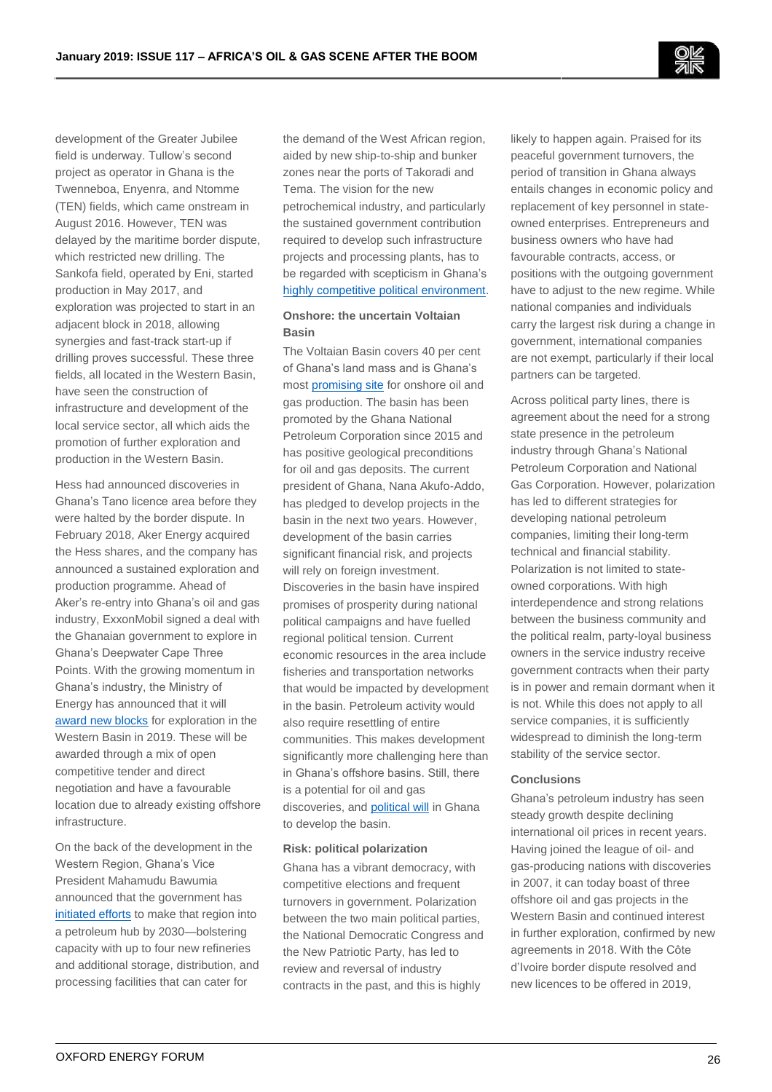development of the Greater Jubilee field is underway. Tullow's second project as operator in Ghana is the Twenneboa, Enyenra, and Ntomme (TEN) fields, which came onstream in August 2016. However, TEN was delayed by the maritime border dispute, which restricted new drilling. The Sankofa field, operated by Eni, started production in May 2017, and exploration was projected to start in an adjacent block in 2018, allowing synergies and fast-track start-up if drilling proves successful. These three fields, all located in the Western Basin, have seen the construction of infrastructure and development of the local service sector, all which aids the promotion of further exploration and production in the Western Basin.

Hess had announced discoveries in Ghana's Tano licence area before they were halted by the border dispute. In February 2018, Aker Energy acquired the Hess shares, and the company has announced a sustained exploration and production programme. Ahead of Aker's re-entry into Ghana's oil and gas industry, ExxonMobil signed a deal with the Ghanaian government to explore in Ghana's Deepwater Cape Three Points. With the growing momentum in Ghana's industry, the Ministry of Energy has announced that it will [award new blocks](http://www.energymin.gov.gh/licensing-bid-rounds-and-negotiation-committee-inaugurated) for exploration in the Western Basin in 2019. These will be awarded through a mix of open competitive tender and direct negotiation and have a favourable location due to already existing offshore infrastructure.

On the back of the development in the Western Region, Ghana's Vice President Mahamudu Bawumia announced that the government has [initiated efforts](https://www.myjoyonline.com/business/2018/June-7th/our-vision-is-to-make-ghana-a-petroleum-hub-bawumia.php) to make that region into a petroleum hub by 2030—bolstering capacity with up to four new refineries and additional storage, distribution, and processing facilities that can cater for

the demand of the West African region, aided by new ship-to-ship and bunker zones near the ports of Takoradi and Tema. The vision for the new petrochemical industry, and particularly the sustained government contribution required to develop such infrastructure projects and processing plants, has to be regarded with scepticism in Ghana's [highly competitive political environment.](https://www.routledge.com/Extractive-Industries-and-Changing-State-Dynamics-in-Africa-Beyond-the/Schubert-Engel-Macamo/p/book/9780815391845)

## **Onshore: the uncertain Voltaian Basin**

The Voltaian Basin covers 40 per cent of Ghana's land mass and is Ghana's most [promising site](http://www.cwcghana.com/wp-content/uploads/2012/01/1.-James-Yamoah.pdf) for onshore oil and gas production. The basin has been promoted by the Ghana National Petroleum Corporation since 2015 and has positive geological preconditions for oil and gas deposits. The current president of Ghana, Nana Akufo-Addo, has pledged to develop projects in the basin in the next two years. However, development of the basin carries significant financial risk, and projects will rely on foreign investment. Discoveries in the basin have inspired promises of prosperity during national political campaigns and have fuelled regional political tension. Current economic resources in the area include fisheries and transportation networks that would be impacted by development in the basin. Petroleum activity would also require resettling of entire communities. This makes development significantly more challenging here than in Ghana's offshore basins. Still, there is a potential for oil and gas discoveries, an[d political will](https://www.modernghana.com/news/786722/akufo-addo-eyes-fourth-fpso-as-search-for-volta-basin-oil-go.html) in Ghana to develop the basin.

#### **Risk: political polarization**

Ghana has a vibrant democracy, with competitive elections and frequent turnovers in government. Polarization between the two main political parties, the National Democratic Congress and the New Patriotic Party, has led to review and reversal of industry contracts in the past, and this is highly

likely to happen again. Praised for its peaceful government turnovers, the period of transition in Ghana always entails changes in economic policy and replacement of key personnel in stateowned enterprises. Entrepreneurs and business owners who have had favourable contracts, access, or positions with the outgoing government have to adjust to the new regime. While national companies and individuals carry the largest risk during a change in government, international companies are not exempt, particularly if their local partners can be targeted.

Across political party lines, there is agreement about the need for a strong state presence in the petroleum industry through Ghana's National Petroleum Corporation and National Gas Corporation. However, polarization has led to different strategies for developing national petroleum companies, limiting their long-term technical and financial stability. Polarization is not limited to stateowned corporations. With high interdependence and strong relations between the business community and the political realm, party-loyal business owners in the service industry receive government contracts when their party is in power and remain dormant when it is not. While this does not apply to all service companies, it is sufficiently widespread to diminish the long-term stability of the service sector.

#### **Conclusions**

Ghana's petroleum industry has seen steady growth despite declining international oil prices in recent years. Having joined the league of oil- and gas-producing nations with discoveries in 2007, it can today boast of three offshore oil and gas projects in the Western Basin and continued interest in further exploration, confirmed by new agreements in 2018. With the Côte d'Ivoire border dispute resolved and new licences to be offered in 2019,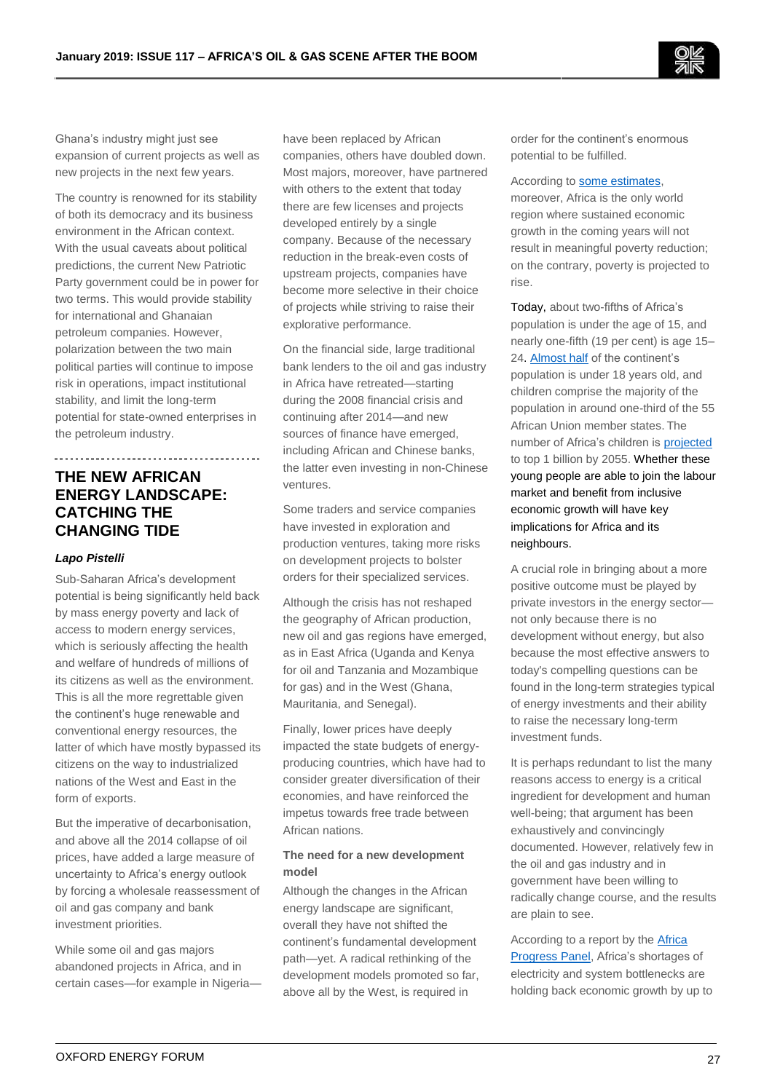

Ghana's industry might just see expansion of current projects as well as new projects in the next few years.

The country is renowned for its stability of both its democracy and its business environment in the African context. With the usual caveats about political predictions, the current New Patriotic Party government could be in power for two terms. This would provide stability for international and Ghanaian petroleum companies. However, polarization between the two main political parties will continue to impose risk in operations, impact institutional stability, and limit the long-term potential for state-owned enterprises in the petroleum industry.

# **THE NEW AFRICAN ENERGY LANDSCAPE: CATCHING THE CHANGING TIDE**

## *Lapo Pistelli*

Sub-Saharan Africa's development potential is being significantly held back by mass energy poverty and lack of access to modern energy services, which is seriously affecting the health and welfare of hundreds of millions of its citizens as well as the environment. This is all the more regrettable given the continent's huge renewable and conventional energy resources, the latter of which have mostly bypassed its citizens on the way to industrialized nations of the West and East in the form of exports.

But the imperative of decarbonisation, and above all the 2014 collapse of oil prices, have added a large measure of uncertainty to Africa's energy outlook by forcing a wholesale reassessment of oil and gas company and bank investment priorities.

While some oil and gas majors abandoned projects in Africa, and in certain cases—for example in Nigeria—

have been replaced by African companies, others have doubled down. Most majors, moreover, have partnered with others to the extent that today there are few licenses and projects developed entirely by a single company. Because of the necessary reduction in the break-even costs of upstream projects, companies have become more selective in their choice of projects while striving to raise their explorative performance.

On the financial side, large traditional bank lenders to the oil and gas industry in Africa have retreated—starting during the 2008 financial crisis and continuing after 2014—and new sources of finance have emerged, including African and Chinese banks, the latter even investing in non-Chinese ventures.

Some traders and service companies have invested in exploration and production ventures, taking more risks on development projects to bolster orders for their specialized services.

Although the crisis has not reshaped the geography of African production, new oil and gas regions have emerged, as in East Africa (Uganda and Kenya for oil and Tanzania and Mozambique for gas) and in the West (Ghana, Mauritania, and Senegal).

Finally, lower prices have deeply impacted the state budgets of energyproducing countries, which have had to consider greater diversification of their economies, and have reinforced the impetus towards free trade between African nations.

## **The need for a new development model**

Although the changes in the African energy landscape are significant, overall they have not shifted the continent's fundamental development path—yet. A radical rethinking of the development models promoted so far, above all by the West, is required in

order for the continent's enormous potential to be fulfilled.

#### According to [some estimates,](https://issafrica.s3.amazonaws.com/site/uploads/policybrief105.pdf)

moreover, Africa is the only world region where sustained economic growth in the coming years will not result in meaningful poverty reduction; on the contrary, poverty is projected to rise.

Today, about two-fifths of Africa's population is under the age of 15, and nearly one-fifth (19 per cent) is age 15– 24[. Almost half](https://www.uneca.org/sites/default/files/PublicationFiles/demographic_profile_rev_april_25.pdf) of the continent's population is under 18 years old, and children comprise the majority of the population in around one-third of the 55 African Union member states. The number of Africa's children i[s projected](https://www.unicef.org/press-releases/dividend-or-disaster-unicef%E2%80%99s-new-report-population-growth-africa) to top 1 billion by 2055. Whether these young people are able to join the labour market and benefit from inclusive economic growth will have key implications for Africa and its neighbours.

A crucial role in bringing about a more positive outcome must be played by private investors in the energy sector not only because there is no development without energy, but also because the most effective answers to today's compelling questions can be found in the long-term strategies typical of energy investments and their ability to raise the necessary long-term investment funds.

It is perhaps redundant to list the many reasons access to energy is a critical ingredient for development and human well-being; that argument has been exhaustively and convincingly documented. However, relatively few in the oil and gas industry and in government have been willing to radically change course, and the results are plain to see.

According to a report by th[e Africa](https://cleancookstoves.org/binary-data/RESOURCE/file/000/000/389-1.pdf)  [Progress Panel,](https://cleancookstoves.org/binary-data/RESOURCE/file/000/000/389-1.pdf) Africa's shortages of electricity and system bottlenecks are holding back economic growth by up to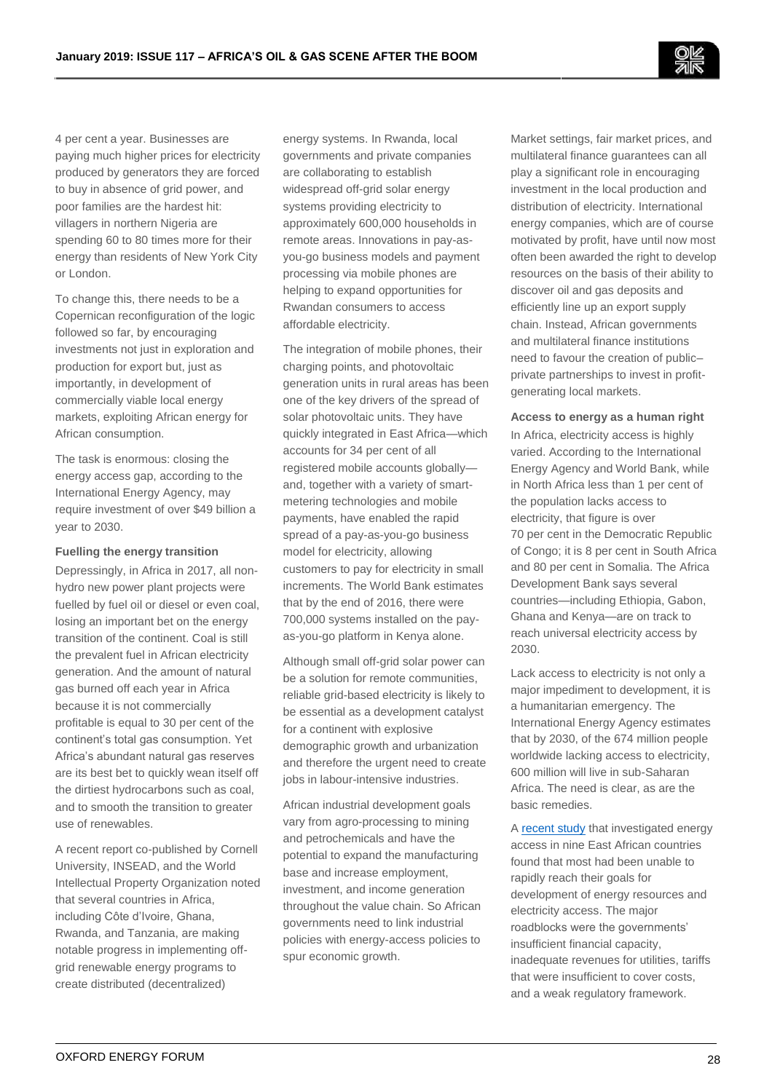4 per cent a year. Businesses are paying much higher prices for electricity produced by generators they are forced to buy in absence of grid power, and poor families are the hardest hit: villagers in northern Nigeria are spending 60 to 80 times more for their energy than residents of New York City or London.

To change this, there needs to be a Copernican reconfiguration of the logic followed so far, by encouraging investments not just in exploration and production for export but, just as importantly, in development of commercially viable local energy markets, exploiting African energy for African consumption.

The task is enormous: closing the energy access gap, according to the International Energy Agency, may require investment of over \$49 billion a year to 2030.

## **Fuelling the energy transition**

Depressingly, in Africa in 2017, all nonhydro new power plant projects were fuelled by fuel oil or diesel or even coal, losing an important bet on the energy transition of the continent. Coal is still the prevalent fuel in African electricity generation. And the amount of natural gas burned off each year in Africa because it is not commercially profitable is equal to 30 per cent of the continent's total gas consumption. Yet Africa's abundant natural gas reserves are its best bet to quickly wean itself off the dirtiest hydrocarbons such as coal, and to smooth the transition to greater use of renewables.

A recent report co-published by Cornell University, INSEAD, and the World Intellectual Property Organization noted that several countries in Africa, including Côte d'Ivoire, Ghana, Rwanda, and Tanzania, are making notable progress in implementing offgrid renewable energy programs to create distributed (decentralized)

energy systems. In Rwanda, local governments and private companies are collaborating to establish widespread off-grid solar energy systems providing electricity to approximately 600,000 households in remote areas. Innovations in pay-asyou-go business models and payment processing via mobile phones are helping to expand opportunities for Rwandan consumers to access affordable electricity.

The integration of mobile phones, their charging points, and photovoltaic generation units in rural areas has been one of the key drivers of the spread of solar photovoltaic units. They have quickly integrated in East Africa—which accounts for 34 per cent of all registered mobile accounts globally and, together with a variety of smartmetering technologies and mobile payments, have enabled the rapid spread of a pay-as-you-go business model for electricity, allowing customers to pay for electricity in small increments. The World Bank estimates that by the end of 2016, there were 700,000 systems installed on the payas-you-go platform in Kenya alone.

Although small off-grid solar power can be a solution for remote communities, reliable grid-based electricity is likely to be essential as a development catalyst for a continent with explosive demographic growth and urbanization and therefore the urgent need to create jobs in labour-intensive industries.

African industrial development goals vary from agro-processing to mining and petrochemicals and have the potential to expand the manufacturing base and increase employment, investment, and income generation throughout the value chain. So African governments need to link industrial policies with energy-access policies to spur economic growth.

Market settings, fair market prices, and multilateral finance guarantees can all play a significant role in encouraging investment in the local production and distribution of electricity. International energy companies, which are of course motivated by profit, have until now most often been awarded the right to develop resources on the basis of their ability to discover oil and gas deposits and efficiently line up an export supply chain. Instead, African governments and multilateral finance institutions need to favour the creation of public– private partnerships to invest in profitgenerating local markets.

#### **Access to energy as a human right**

In Africa, electricity access is highly varied. According to the International Energy Agency and World Bank, while in North Africa less than 1 per cent of the population lacks access to electricity, that figure is over 70 per cent in the Democratic Republic of Congo; it is 8 per cent in South Africa and 80 per cent in Somalia. The Africa Development Bank says several countries—including Ethiopia, Gabon, Ghana and Kenya—are on track to reach universal electricity access by 2030.

Lack access to electricity is not only a major impediment to development, it is a humanitarian emergency. The International Energy Agency estimates that by 2030, of the 674 million people worldwide lacking access to electricity, 600 million will live in sub-Saharan Africa. The need is clear, as are the basic remedies.

A [recent study](https://energypolicy.columbia.edu/sites/default/files/pictures/East-Africa-Shared-Gas-Initiative.pdf) that investigated energy access in nine East African countries found that most had been unable to rapidly reach their goals for development of energy resources and electricity access. The major roadblocks were the governments' insufficient financial capacity, inadequate revenues for utilities, tariffs that were insufficient to cover costs, and a weak regulatory framework.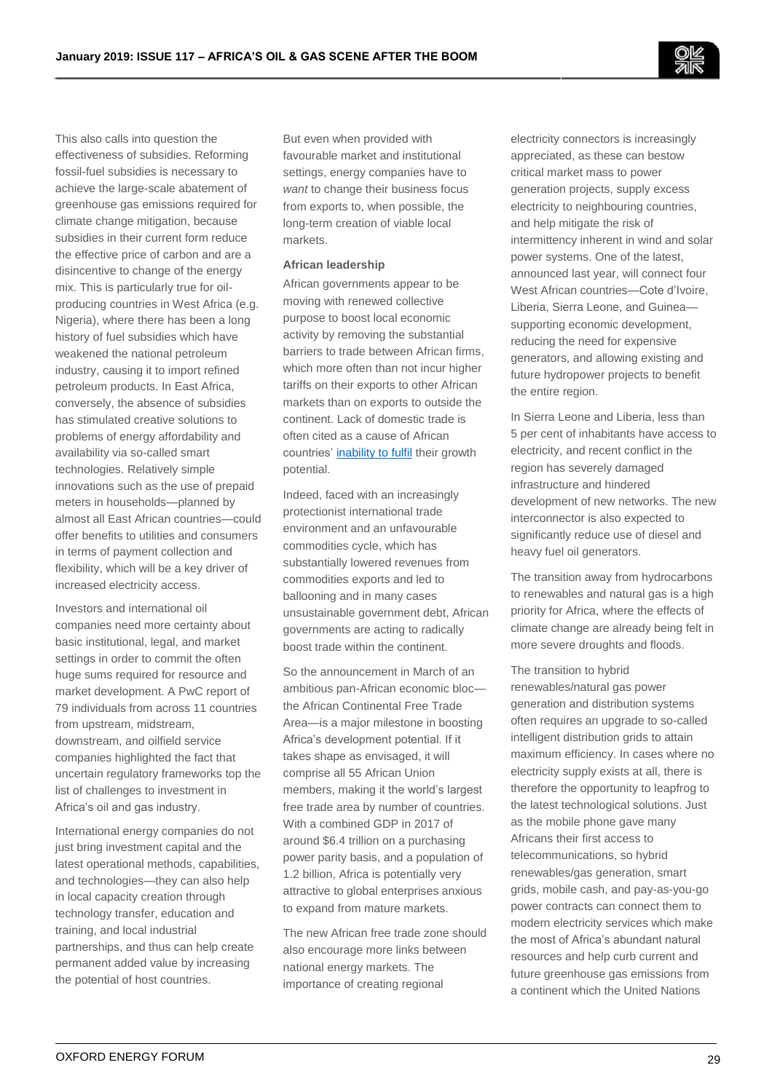This also calls into question the effectiveness of subsidies. Reforming fossil-fuel subsidies is necessary to achieve the large-scale abatement of greenhouse gas emissions required for climate change mitigation, because subsidies in their current form reduce the effective price of carbon and are a disincentive to change of the energy mix. This is particularly true for oilproducing countries in West Africa (e.g. Nigeria), where there has been a long history of fuel subsidies which have weakened the national petroleum industry, causing it to import refined petroleum products. In East Africa, conversely, the absence of subsidies has stimulated creative solutions to problems of energy affordability and availability via so-called smart technologies. Relatively simple innovations such as the use of prepaid meters in households—planned by almost all East African countries—could offer benefits to utilities and consumers in terms of payment collection and flexibility, which will be a key driver of increased electricity access.

Investors and international oil companies need more certainty about basic institutional, legal, and market settings in order to commit the often huge sums required for resource and market development. A PwC report of 79 individuals from across 11 countries from upstream, midstream, downstream, and oilfield service companies highlighted the fact that uncertain regulatory frameworks top the list of challenges to investment in Africa's oil and gas industry.

International energy companies do not just bring investment capital and the latest operational methods, capabilities, and technologies—they can also help in local capacity creation through technology transfer, education and training, and local industrial partnerships, and thus can help create permanent added value by increasing the potential of host countries.

But even when provided with favourable market and institutional settings, energy companies have to *want* to change their business focus from exports to, when possible, the long-term creation of viable local markets.

#### **African leadership**

African governments appear to be moving with renewed collective purpose to boost local economic activity by removing the substantial barriers to trade between African firms, which more often than not incur higher tariffs on their exports to other African markets than on exports to outside the continent. Lack of domestic trade is often cited as a cause of African countries' [inability to fulfil](https://au.int/sites/default/files/documents/33984-doc-qa_cfta_en_rev15march.pdf) their growth potential.

Indeed, faced with an increasingly protectionist international trade environment and an unfavourable commodities cycle, which has substantially lowered revenues from commodities exports and led to ballooning and in many cases unsustainable government debt, African governments are acting to radically boost trade within the continent.

So the announcement in March of an ambitious pan-African economic bloc the African Continental Free Trade Area—is a major milestone in boosting Africa's development potential. If it takes shape as envisaged, it will comprise all 55 African Union members, making it the world's largest free trade area by number of countries. With a combined GDP in 2017 of around \$6.4 trillion on a purchasing power parity basis, and a population of 1.2 billion, Africa is potentially very attractive to global enterprises anxious to expand from mature markets.

The new African free trade zone should also encourage more links between national energy markets. The importance of creating regional

electricity connectors is increasingly appreciated, as these can bestow critical market mass to power generation projects, supply excess electricity to neighbouring countries, and help mitigate the risk of intermittency inherent in wind and solar power systems. One of the latest, announced last year, will connect four West African countries—Cote d'Ivoire, Liberia, Sierra Leone, and Guinea supporting economic development, reducing the need for expensive generators, and allowing existing and future hydropower projects to benefit the entire region.

In Sierra Leone and Liberia, less than 5 per cent of inhabitants have access to electricity, and recent conflict in the region has severely damaged infrastructure and hindered development of new networks. The new interconnector is also expected to significantly reduce use of diesel and heavy fuel oil generators.

The transition away from hydrocarbons to renewables and natural gas is a high priority for Africa, where the effects of climate change are already being felt in more severe droughts and floods.

The transition to hybrid renewables/natural gas power generation and distribution systems often requires an upgrade to so-called intelligent distribution grids to attain maximum efficiency. In cases where no electricity supply exists at all, there is therefore the opportunity to leapfrog to the latest technological solutions. Just as the mobile phone gave many Africans their first access to telecommunications, so hybrid renewables/gas generation, smart grids, mobile cash, and pay-as-you-go power contracts can connect them to modern electricity services which make the most of Africa's abundant natural resources and help curb current and future greenhouse gas emissions from a continent which the United Nations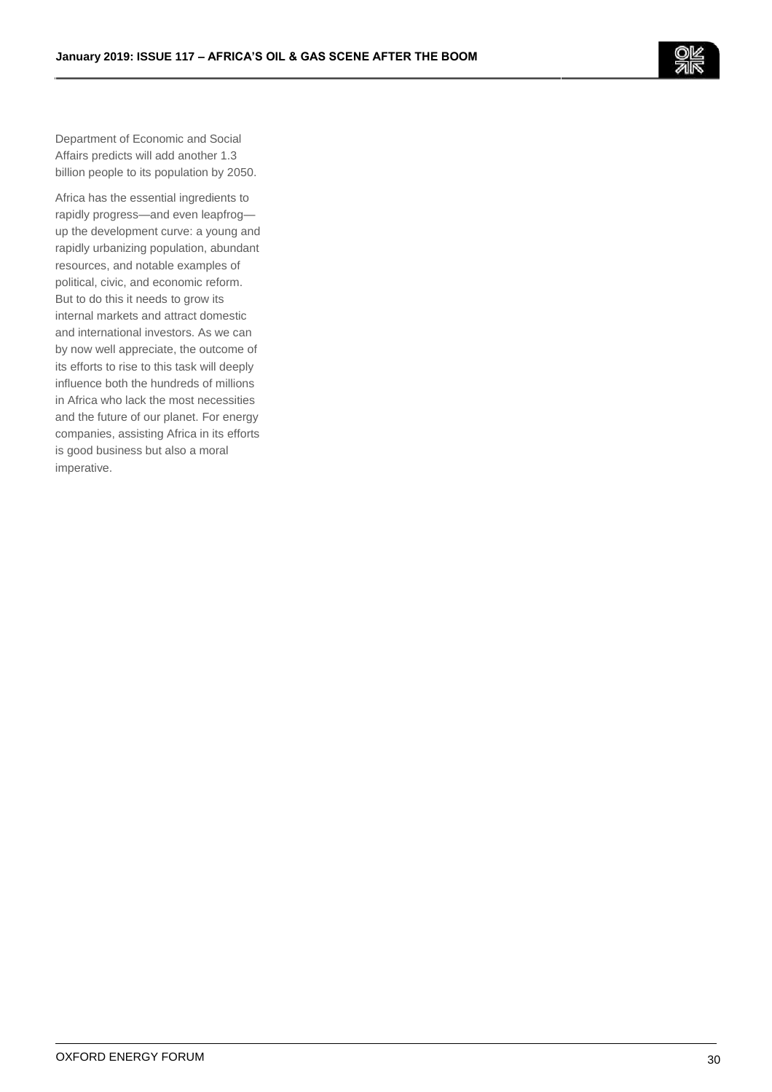

Department of Economic and Social Affairs predicts will add another 1.3 billion people to its population by 2050.

Africa has the essential ingredients to rapidly progress—and even leapfrog up the development curve: a young and rapidly urbanizing population, abundant resources, and notable examples of political, civic, and economic reform. But to do this it needs to grow its internal markets and attract domestic and international investors. As we can by now well appreciate, the outcome of its efforts to rise to this task will deeply influence both the hundreds of millions in Africa who lack the most necessities and the future of our planet. For energy companies, assisting Africa in its efforts is good business but also a moral imperative.